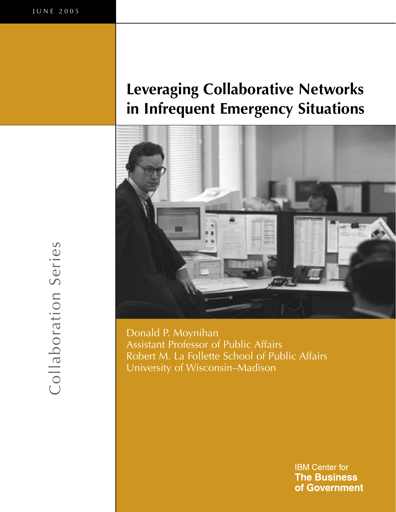# **Leveraging Collaborative Networks in Infrequent Emergency Situations**



Donald P. Moynihan Assistant Professor of Public Affairs Robert M. La Follette School of Public Affairs University of Wisconsin–Madison

> **IBM Center for The Business** of Government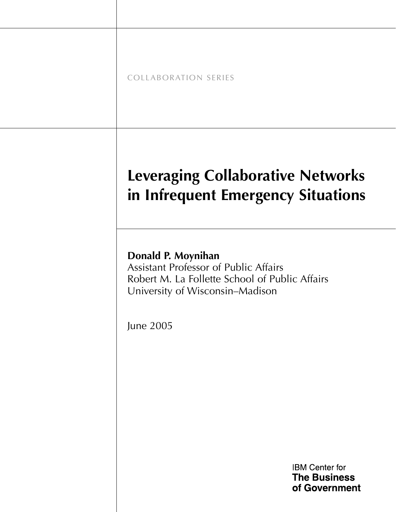COLLABORATION SERIES

# **Leveraging Collaborative Networks in Infrequent Emergency Situations**

# **Donald P. Moynihan**

Assistant Professor of Public Affairs Robert M. La Follette School of Public Affairs University of Wisconsin–Madison

June 2005

**IBM Center for The Business** of Government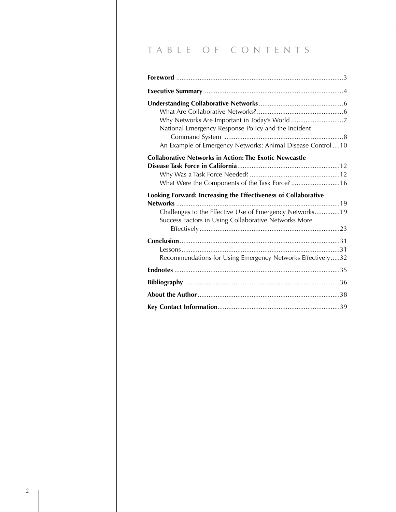# T A B L E O F C O N T E N T S

| National Emergency Response Policy and the Incident                                                             |
|-----------------------------------------------------------------------------------------------------------------|
| An Example of Emergency Networks: Animal Disease Control  10                                                    |
| <b>Collaborative Networks in Action: The Exotic Newcastle</b><br>What Were the Components of the Task Force? 16 |
| Looking Forward: Increasing the Effectiveness of Collaborative<br>Networks                                      |
| Challenges to the Effective Use of Emergency Networks19<br>Success Factors in Using Collaborative Networks More |
| Recommendations for Using Emergency Networks Effectively32                                                      |
|                                                                                                                 |
|                                                                                                                 |
|                                                                                                                 |
|                                                                                                                 |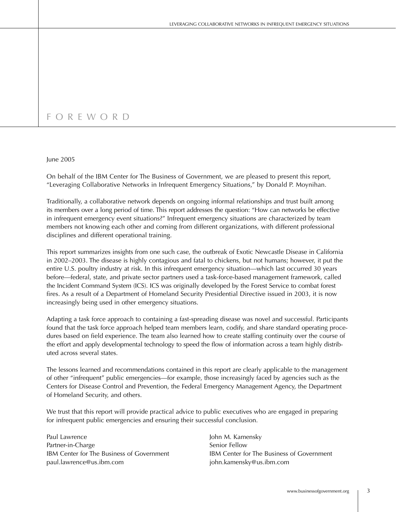# F O R E W O R D

#### June 2005

On behalf of the IBM Center for The Business of Government, we are pleased to present this report, "Leveraging Collaborative Networks in Infrequent Emergency Situations," by Donald P. Moynihan.

Traditionally, a collaborative network depends on ongoing informal relationships and trust built among its members over a long period of time. This report addresses the question: "How can networks be effective in infrequent emergency event situations?" Infrequent emergency situations are characterized by team members not knowing each other and coming from different organizations, with different professional disciplines and different operational training.

This report summarizes insights from one such case, the outbreak of Exotic Newcastle Disease in California in 2002–2003. The disease is highly contagious and fatal to chickens, but not humans; however, it put the entire U.S. poultry industry at risk. In this infrequent emergency situation—which last occurred 30 years before—federal, state, and private sector partners used a task-force-based management framework, called the Incident Command System (ICS). ICS was originally developed by the Forest Service to combat forest fires. As a result of a Department of Homeland Security Presidential Directive issued in 2003, it is now increasingly being used in other emergency situations.

Adapting a task force approach to containing a fast-spreading disease was novel and successful. Participants found that the task force approach helped team members learn, codify, and share standard operating procedures based on field experience. The team also learned how to create staffing continuity over the course of the effort and apply developmental technology to speed the flow of information across a team highly distributed across several states.

The lessons learned and recommendations contained in this report are clearly applicable to the management of other "infrequent" public emergencies—for example, those increasingly faced by agencies such as the Centers for Disease Control and Prevention, the Federal Emergency Management Agency, the Department of Homeland Security, and others.

We trust that this report will provide practical advice to public executives who are engaged in preparing for infrequent public emergencies and ensuring their successful conclusion.

Paul Lawrence **Accord Paul Lawrence** John M. Kamensky Partner-in-Charge Senior Fellow paul.lawrence@us.ibm.com john.kamensky@us.ibm.com

IBM Center for The Business of Government IBM Center for The Business of Government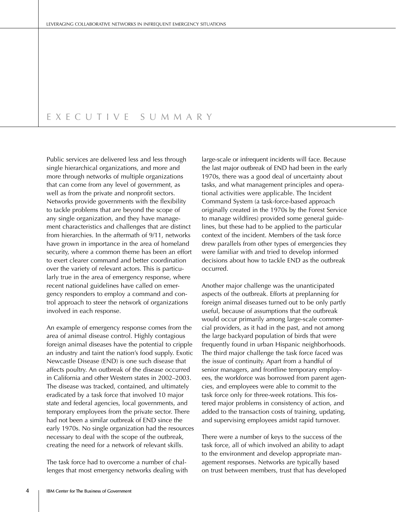# E X E C U T I V E S U M M A R Y

Public services are delivered less and less through single hierarchical organizations, and more and more through networks of multiple organizations that can come from any level of government, as well as from the private and nonprofit sectors. Networks provide governments with the flexibility to tackle problems that are beyond the scope of any single organization, and they have management characteristics and challenges that are distinct from hierarchies. In the aftermath of 9/11, networks have grown in importance in the area of homeland security, where a common theme has been an effort to exert clearer command and better coordination over the variety of relevant actors. This is particularly true in the area of emergency response, where recent national guidelines have called on emergency responders to employ a command and control approach to steer the network of organizations involved in each response.

An example of emergency response comes from the area of animal disease control. Highly contagious foreign animal diseases have the potential to cripple an industry and taint the nation's food supply. Exotic Newcastle Disease (END) is one such disease that affects poultry. An outbreak of the disease occurred in California and other Western states in 2002–2003. The disease was tracked, contained, and ultimately eradicated by a task force that involved 10 major state and federal agencies, local governments, and temporary employees from the private sector. There had not been a similar outbreak of END since the early 1970s. No single organization had the resources necessary to deal with the scope of the outbreak, creating the need for a network of relevant skills.

The task force had to overcome a number of challenges that most emergency networks dealing with large-scale or infrequent incidents will face. Because the last major outbreak of END had been in the early 1970s, there was a good deal of uncertainty about tasks, and what management principles and operational activities were applicable. The Incident Command System (a task-force-based approach originally created in the 1970s by the Forest Service to manage wildfires) provided some general guidelines, but these had to be applied to the particular context of the incident. Members of the task force drew parallels from other types of emergencies they were familiar with and tried to develop informed decisions about how to tackle END as the outbreak occurred.

Another major challenge was the unanticipated aspects of the outbreak. Efforts at preplanning for foreign animal diseases turned out to be only partly useful, because of assumptions that the outbreak would occur primarily among large-scale commercial providers, as it had in the past, and not among the large backyard population of birds that were frequently found in urban Hispanic neighborhoods. The third major challenge the task force faced was the issue of continuity. Apart from a handful of senior managers, and frontline temporary employees, the workforce was borrowed from parent agencies, and employees were able to commit to the task force only for three-week rotations. This fostered major problems in consistency of action, and added to the transaction costs of training, updating, and supervising employees amidst rapid turnover.

There were a number of keys to the success of the task force, all of which involved an ability to adapt to the environment and develop appropriate management responses. Networks are typically based on trust between members, trust that has developed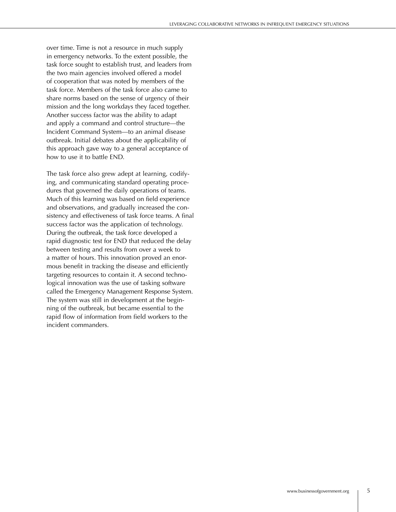over time. Time is not a resource in much supply in emergency networks. To the extent possible, the task force sought to establish trust, and leaders from the two main agencies involved offered a model of cooperation that was noted by members of the task force. Members of the task force also came to share norms based on the sense of urgency of their mission and the long workdays they faced together. Another success factor was the ability to adapt and apply a command and control structure—the Incident Command System—to an animal disease outbreak. Initial debates about the applicability of this approach gave way to a general acceptance of how to use it to battle END.

The task force also grew adept at learning, codifying, and communicating standard operating procedures that governed the daily operations of teams. Much of this learning was based on field experience and observations, and gradually increased the consistency and effectiveness of task force teams. A final success factor was the application of technology. During the outbreak, the task force developed a rapid diagnostic test for END that reduced the delay between testing and results from over a week to a matter of hours. This innovation proved an enormous benefit in tracking the disease and efficiently targeting resources to contain it. A second technological innovation was the use of tasking software called the Emergency Management Response System. The system was still in development at the beginning of the outbreak, but became essential to the rapid flow of information from field workers to the incident commanders.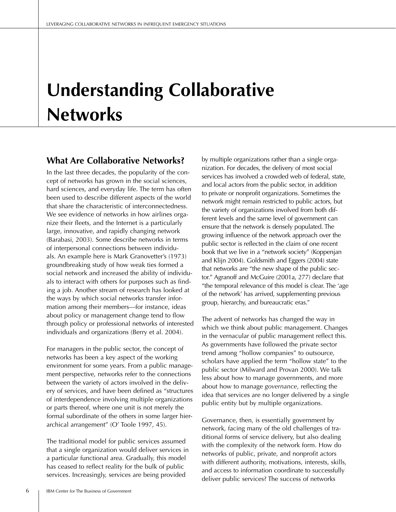# **Understanding Collaborative Networks**

## **What Are Collaborative Networks?**

In the last three decades, the popularity of the concept of networks has grown in the social sciences, hard sciences, and everyday life. The term has often been used to describe different aspects of the world that share the characteristic of interconnectedness. We see evidence of networks in how airlines organize their fleets, and the Internet is a particularly large, innovative, and rapidly changing network (Barabasi, 2003). Some describe networks in terms of interpersonal connections between individuals. An example here is Mark Granovetter's (1973) groundbreaking study of how weak ties formed a social network and increased the ability of individuals to interact with others for purposes such as finding a job. Another stream of research has looked at the ways by which social networks transfer information among their members—for instance, ideas about policy or management change tend to flow through policy or professional networks of interested individuals and organizations (Berry et al. 2004).

For managers in the public sector, the concept of networks has been a key aspect of the working environment for some years. From a public management perspective, networks refer to the connections between the variety of actors involved in the delivery of services, and have been defined as "structures of interdependence involving multiple organizations or parts thereof, where one unit is not merely the formal subordinate of the others in some larger hierarchical arrangement" (O' Toole 1997, 45).

The traditional model for public services assumed that a single organization would deliver services in a particular functional area. Gradually, this model has ceased to reflect reality for the bulk of public services. Increasingly, services are being provided

by multiple organizations rather than a single organization. For decades, the delivery of most social services has involved a crowded web of federal, state, and local actors from the public sector, in addition to private or nonprofit organizations. Sometimes the network might remain restricted to public actors, but the variety of organizations involved from both different levels and the same level of government can ensure that the network is densely populated. The growing influence of the network approach over the public sector is reflected in the claim of one recent book that we live in a "network society" (Koppenjan and Klijn 2004). Goldsmith and Eggers (2004) state that networks are "the new shape of the public sector." Agranoff and McGuire (2001a, 277) declare that "the temporal relevance of this model is clear. The 'age of the network' has arrived, supplementing previous group, hierarchy, and bureaucratic eras."

The advent of networks has changed the way in which we think about public management. Changes in the vernacular of public management reflect this. As governments have followed the private sector trend among "hollow companies" to outsource, scholars have applied the term "hollow state" to the public sector (Milward and Provan 2000). We talk less about how to manage governments, and more about how to manage *governance*, reflecting the idea that services are no longer delivered by a single public entity but by multiple organizations.

Governance, then, is essentially government by network, facing many of the old challenges of traditional forms of service delivery, but also dealing with the complexity of the network form. How do networks of public, private, and nonprofit actors with different authority, motivations, interests, skills, and access to information coordinate to successfully deliver public services? The success of networks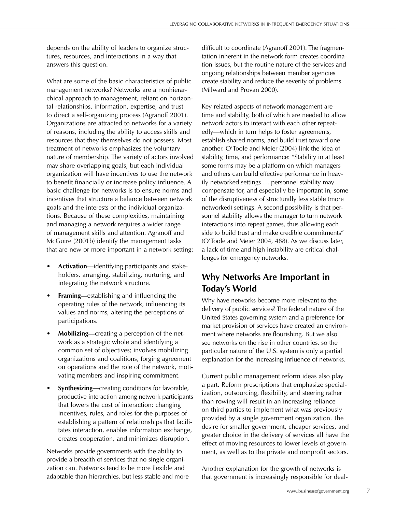depends on the ability of leaders to organize structures, resources, and interactions in a way that answers this question.

What are some of the basic characteristics of public management networks? Networks are a nonhierarchical approach to management, reliant on horizontal relationships, information, expertise, and trust to direct a self-organizing process (Agranoff 2001). Organizations are attracted to networks for a variety of reasons, including the ability to access skills and resources that they themselves do not possess. Most treatment of networks emphasizes the voluntary nature of membership. The variety of actors involved may share overlapping goals, but each individual organization will have incentives to use the network to benefit financially or increase policy influence. A basic challenge for networks is to ensure norms and incentives that structure a balance between network goals and the interests of the individual organizations. Because of these complexities, maintaining and managing a network requires a wider range of management skills and attention. Agranoff and McGuire (2001b) identify the management tasks that are new or more important in a network setting:

- **Activation—**identifying participants and stakeholders, arranging, stabilizing, nurturing, and integrating the network structure.
- **Framing—**establishing and influencing the operating rules of the network, influencing its values and norms, altering the perceptions of participations.
- **Mobilizing—**creating a perception of the network as a strategic whole and identifying a common set of objectives; involves mobilizing organizations and coalitions, forging agreement on operations and the role of the network, motivating members and inspiring commitment.
- **Synthesizing—**creating conditions for favorable, productive interaction among network participants that lowers the cost of interaction; changing incentives, rules, and roles for the purposes of establishing a pattern of relationships that facilitates interaction, enables information exchange, creates cooperation, and minimizes disruption.

Networks provide governments with the ability to provide a breadth of services that no single organization can. Networks tend to be more flexible and adaptable than hierarchies, but less stable and more

difficult to coordinate (Agranoff 2001). The fragmentation inherent in the network form creates coordination issues, but the routine nature of the services and ongoing relationships between member agencies create stability and reduce the severity of problems (Milward and Provan 2000).

Key related aspects of network management are time and stability, both of which are needed to allow network actors to interact with each other repeatedly—which in turn helps to foster agreements, establish shared norms, and build trust toward one another. O'Toole and Meier (2004) link the idea of stability, time, and performance: "Stability in at least some forms may be a platform on which managers and others can build effective performance in heavily networked settings … personnel stability may compensate for, and especially be important in, some of the disruptiveness of structurally less stable (more networked) settings. A second possibility is that personnel stability allows the manager to turn network interactions into repeat games, thus allowing each side to build trust and make credible commitments" (O'Toole and Meier 2004, 488). As we discuss later, a lack of time and high instability are critical challenges for emergency networks.

# **Why Networks Are Important in Today's World**

Why have networks become more relevant to the delivery of public services? The federal nature of the United States governing system and a preference for market provision of services have created an environment where networks are flourishing. But we also see networks on the rise in other countries, so the particular nature of the U.S. system is only a partial explanation for the increasing influence of networks.

Current public management reform ideas also play a part. Reform prescriptions that emphasize specialization, outsourcing, flexibility, and steering rather than rowing will result in an increasing reliance on third parties to implement what was previously provided by a single government organization. The desire for smaller government, cheaper services, and greater choice in the delivery of services all have the effect of moving resources to lower levels of government, as well as to the private and nonprofit sectors.

Another explanation for the growth of networks is that government is increasingly responsible for deal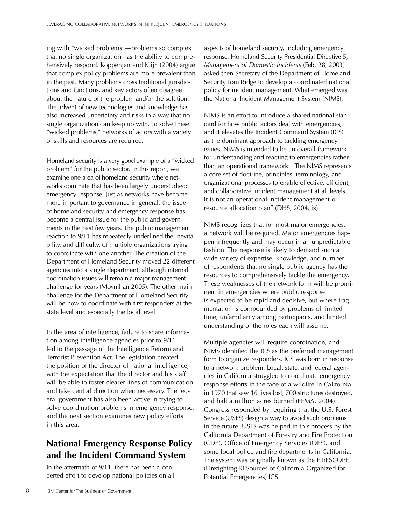ing with "wicked problems"—problems so complex that no single organization has the ability to comprehensively respond. Koppenjan and Klijn (2004) argue that complex policy problems are more prevalent than in the past. Many problems cross traditional jurisdictions and functions, and key actors often disagree about the nature of the problem and/or the solution. The advent of new technologies and knowledge has also increased uncertainty and risks in a way that no single organization can keep up with. To solve these "wicked problems," networks of actors with a variety of skills and resources are required.

Homeland security is a very good example of a "wicked problem" for the public sector. In this report, we examine one area of homeland security where networks dominate that has been largely understudied: emergency response. Just as networks have become more important to governance in general, the issue of homeland security and emergency response has become a central issue for the public and governments in the past few years. The public management reaction to 9/11 has repeatedly underlined the inevitability, and difficulty, of multiple organizations trying to coordinate with one another. The creation of the Department of Homeland Security moved 22 different agencies into a single department, although internal coordination issues will remain a major management challenge for years (Moynihan 2005). The other main challenge for the Department of Homeland Security will be how to coordinate with first responders at the state level and especially the local level.

In the area of intelligence, failure to share information among intelligence agencies prior to 9/11 led to the passage of the Intelligence Reform and Terrorist Prevention Act. The legislation created the position of the director of national intelligence, with the expectation that the director and his staff will be able to foster clearer lines of communication and take central direction when necessary. The federal government has also been active in trying to solve coordination problems in emergency response, and the next section examines new policy efforts in this area.

# **National Emergency Response Policy and the Incident Command System**

In the aftermath of 9/11, there has been a concerted effort to develop national policies on all

aspects of homeland security, including emergency response. Homeland Security Presidential Directive 5, *Management of Domestic Incidents* (Feb. 28, 2003) asked then Secretary of the Department of Homeland Security Tom Ridge to develop a coordinated national policy for incident management. What emerged was the National Incident Management System (NIMS).

NIMS is an effort to introduce a shared national standard for how public actors deal with emergencies, and it elevates the Incident Command System (ICS) as the dominant approach to tackling emergency issues. NIMS is intended to be an overall framework for understanding and reacting to emergencies rather than an operational framework: "The NIMS represents a core set of doctrine, principles, terminology, and organizational processes to enable effective, efficient, and collaborative incident management at all levels. It is not an operational incident management or resource allocation plan" (DHS, 2004, ix).

NIMS recognizes that for most major emergencies, a network will be required. Major emergencies happen infrequently and may occur in an unpredictable fashion. The response is likely to demand such a wide variety of expertise, knowledge, and number of respondents that no single public agency has the resources to comprehensively tackle the emergency. These weaknesses of the network form will be prominent in emergencies where public response is expected to be rapid and decisive, but where fragmentation is compounded by problems of limited time, unfamiliarity among participants, and limited understanding of the roles each will assume.

Multiple agencies will require coordination, and NIMS identified the ICS as the preferred management form to organize responders. ICS was born in response to a network problem. Local, state, and federal agencies in California struggled to coordinate emergency response efforts in the face of a wildfire in California in 1970 that saw 16 lives lost, 700 structures destroyed, and half a million acres burned (FEMA, 2004). Congress responded by requiring that the U.S. Forest Service (USFS) design a way to avoid such problems in the future. USFS was helped in this process by the California Department of Forestry and Fire Protection (CDF), Office of Emergency Services (OES), and some local police and fire departments in California. The system was originally known as the FIRESCOPE (FIrefighting RESources of California Organized for Potential Emergencies) ICS.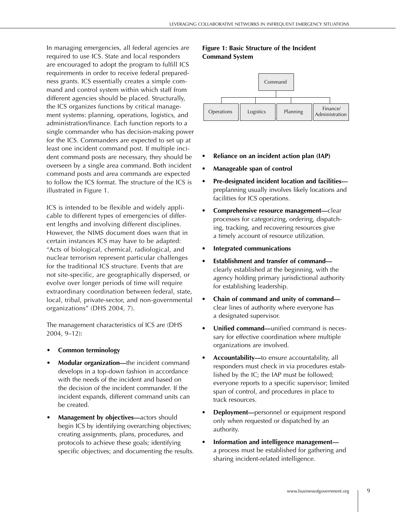In managing emergencies, all federal agencies are required to use ICS. State and local responders are encouraged to adopt the program to fulfill ICS requirements in order to receive federal preparedness grants. ICS essentially creates a simple command and control system within which staff from different agencies should be placed. Structurally, the ICS organizes functions by critical management systems: planning, operations, logistics, and administration/finance. Each function reports to a single commander who has decision-making power for the ICS. Commanders are expected to set up at least one incident command post. If multiple incident command posts are necessary, they should be overseen by a single area command. Both incident command posts and area commands are expected to follow the ICS format. The structure of the ICS is illustrated in Figure 1.

ICS is intended to be flexible and widely applicable to different types of emergencies of different lengths and involving different disciplines. However, the NIMS document does warn that in certain instances ICS may have to be adapted: "Acts of biological, chemical, radiological, and nuclear terrorism represent particular challenges for the traditional ICS structure. Events that are not site-specific, are geographically dispersed, or evolve over longer periods of time will require extraordinary coordination between federal, state, local, tribal, private-sector, and non-governmental organizations" (DHS 2004, 7).

The management characteristics of ICS are (DHS 2004, 9–12):

- **Common terminology**
- **Modular organization—**the incident command develops in a top-down fashion in accordance with the needs of the incident and based on the decision of the incident commander. If the incident expands, different command units can be created.
- **Management by objectives—**actors should begin ICS by identifying overarching objectives; creating assignments, plans, procedures, and protocols to achieve these goals; identifying specific objectives; and documenting the results.

#### **Figure 1: Basic Structure of the Incident Command System**



- **Reliance on an incident action plan (IAP)**
- **Manageable span of control**
- **Pre-designated incident location and facilities** preplanning usually involves likely locations and facilities for ICS operations.
- **Comprehensive resource management—**clear processes for categorizing, ordering, dispatching, tracking, and recovering resources give a timely account of resource utilization.
- **Integrated communications**
- **Establishment and transfer of command** clearly established at the beginning, with the agency holding primary jurisdictional authority for establishing leadership.
- **Chain of command and unity of command** clear lines of authority where everyone has a designated supervisor.
- **Unified command—**unified command is necessary for effective coordination where multiple organizations are involved.
- **Accountability—**to ensure accountability, all responders must check in via procedures established by the IC; the IAP must be followed; everyone reports to a specific supervisor; limited span of control, and procedures in place to track resources.
- **Deployment—**personnel or equipment respond only when requested or dispatched by an authority.
- **Information and intelligence management** a process must be established for gathering and sharing incident-related intelligence.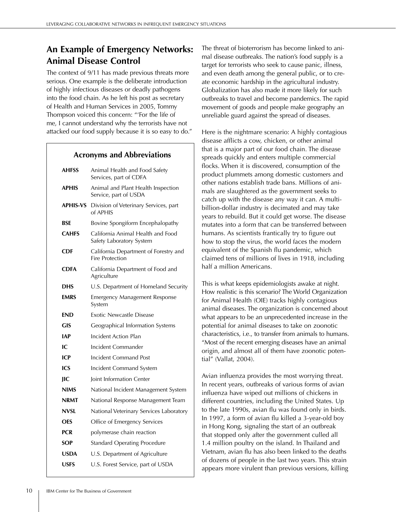# **An Example of Emergency Networks: Animal Disease Control**

The context of 9/11 has made previous threats more serious. One example is the deliberate introduction of highly infectious diseases or deadly pathogens into the food chain. As he left his post as secretary of Health and Human Services in 2005, Tommy Thompson voiced this concern: "'For the life of me, I cannot understand why the terrorists have not attacked our food supply because it is so easy to do."

## **Acronyms and Abbreviations**

| <b>AHFSS</b>    | Animal Health and Food Safety<br>Services, part of CDFA         |
|-----------------|-----------------------------------------------------------------|
| <b>APHIS</b>    | Animal and Plant Health Inspection<br>Service, part of USDA     |
| <b>APHIS-VS</b> | Division of Veterinary Services, part<br>of APHIS               |
| BSE             | Bovine Spongiform Encephalopathy                                |
| <b>CAHFS</b>    | California Animal Health and Food<br>Safety Laboratory System   |
| <b>CDF</b>      | California Department of Forestry and<br><b>Fire Protection</b> |
| <b>CDFA</b>     | California Department of Food and<br>Agriculture                |
| <b>DHS</b>      | U.S. Department of Homeland Security                            |
| <b>EMRS</b>     | <b>Emergency Management Response</b><br>System                  |
| END             | <b>Exotic Newcastle Disease</b>                                 |
| GIS             | Geographical Information Systems                                |
| <b>IAP</b>      | Incident Action Plan                                            |
| IС              | Incident Commander                                              |
| ICP             | Incident Command Post                                           |
| ICS             | Incident Command System                                         |
| JIC             | <b>Joint Information Center</b>                                 |
| <b>NIMS</b>     | National Incident Management System                             |
| <b>NRMT</b>     | National Response Management Team                               |
| <b>NVSL</b>     | National Veterinary Services Laboratory                         |
| OES             | Office of Emergency Services                                    |
| PCR             | polymerase chain reaction                                       |
| <b>SOP</b>      | <b>Standard Operating Procedure</b>                             |
| USDA            | U.S. Department of Agriculture                                  |
| USFS            | U.S. Forest Service, part of USDA                               |

The threat of bioterrorism has become linked to animal disease outbreaks. The nation's food supply is a target for terrorists who seek to cause panic, illness, and even death among the general public, or to create economic hardship in the agricultural industry. Globalization has also made it more likely for such outbreaks to travel and become pandemics. The rapid movement of goods and people make geography an unreliable guard against the spread of diseases.

Here is the nightmare scenario: A highly contagious disease afflicts a cow, chicken, or other animal that is a major part of our food chain. The disease spreads quickly and enters multiple commercial flocks. When it is discovered, consumption of the product plummets among domestic customers and other nations establish trade bans. Millions of animals are slaughtered as the government seeks to catch up with the disease any way it can. A multibillion-dollar industry is decimated and may take years to rebuild. But it could get worse. The disease mutates into a form that can be transferred between humans. As scientists frantically try to figure out how to stop the virus, the world faces the modern equivalent of the Spanish flu pandemic, which claimed tens of millions of lives in 1918, including half a million Americans.

This is what keeps epidemiologists awake at night. How realistic is this scenario? The World Organization for Animal Health (OIE) tracks highly contagious animal diseases. The organization is concerned about what appears to be an unprecedented increase in the potential for animal diseases to take on zoonotic characteristics, i.e., to transfer from animals to humans. "Most of the recent emerging diseases have an animal origin, and almost all of them have zoonotic potential" (Vallat, 2004).

Avian influenza provides the most worrying threat. In recent years, outbreaks of various forms of avian influenza have wiped out millions of chickens in different countries, including the United States. Up to the late 1990s, avian flu was found only in birds. In 1997, a form of avian flu killed a 3-year-old boy in Hong Kong, signaling the start of an outbreak that stopped only after the government culled all 1.4 million poultry on the island. In Thailand and Vietnam, avian flu has also been linked to the deaths of dozens of people in the last two years. This strain appears more virulent than previous versions, killing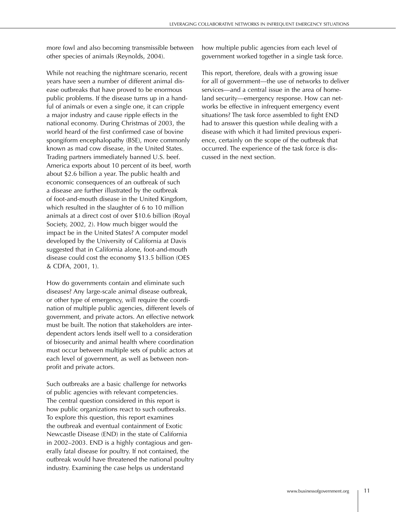more fowl and also becoming transmissible between other species of animals (Reynolds, 2004).

While not reaching the nightmare scenario, recent years have seen a number of different animal disease outbreaks that have proved to be enormous public problems. If the disease turns up in a handful of animals or even a single one, it can cripple a major industry and cause ripple effects in the national economy. During Christmas of 2003, the world heard of the first confirmed case of bovine spongiform encephalopathy (BSE), more commonly known as mad cow disease, in the United States. Trading partners immediately banned U.S. beef. America exports about 10 percent of its beef, worth about \$2.6 billion a year. The public health and economic consequences of an outbreak of such a disease are further illustrated by the outbreak of foot-and-mouth disease in the United Kingdom, which resulted in the slaughter of 6 to 10 million animals at a direct cost of over \$10.6 billion (Royal Society, 2002, 2). How much bigger would the impact be in the United States? A computer model developed by the University of California at Davis suggested that in California alone, foot-and-mouth disease could cost the economy \$13.5 billion (OES & CDFA, 2001, 1).

How do governments contain and eliminate such diseases? Any large-scale animal disease outbreak, or other type of emergency, will require the coordination of multiple public agencies, different levels of government, and private actors. An effective network must be built. The notion that stakeholders are interdependent actors lends itself well to a consideration of biosecurity and animal health where coordination must occur between multiple sets of public actors at each level of government, as well as between nonprofit and private actors.

Such outbreaks are a basic challenge for networks of public agencies with relevant competencies. The central question considered in this report is how public organizations react to such outbreaks. To explore this question, this report examines the outbreak and eventual containment of Exotic Newcastle Disease (END) in the state of California in 2002–2003. END is a highly contagious and generally fatal disease for poultry. If not contained, the outbreak would have threatened the national poultry industry. Examining the case helps us understand

how multiple public agencies from each level of government worked together in a single task force.

This report, therefore, deals with a growing issue for all of government—the use of networks to deliver services—and a central issue in the area of homeland security—emergency response. How can networks be effective in infrequent emergency event situations? The task force assembled to fight END had to answer this question while dealing with a disease with which it had limited previous experience, certainly on the scope of the outbreak that occurred. The experience of the task force is discussed in the next section.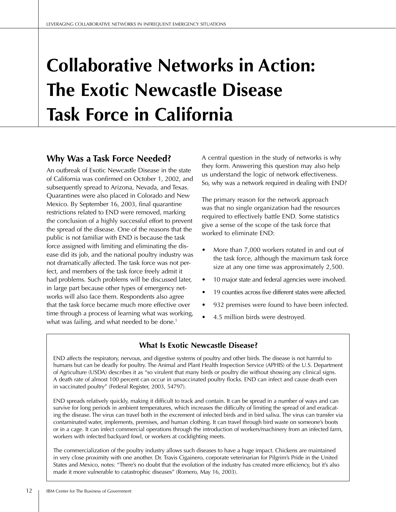# **Collaborative Networks in Action: The Exotic Newcastle Disease Task Force in California**

# **Why Was a Task Force Needed?**

An outbreak of Exotic Newcastle Disease in the state of California was confirmed on October 1, 2002, and subsequently spread to Arizona, Nevada, and Texas. Quarantines were also placed in Colorado and New Mexico. By September 16, 2003, final quarantine restrictions related to END were removed, marking the conclusion of a highly successful effort to prevent the spread of the disease. One of the reasons that the public is not familiar with END is because the task force assigned with limiting and eliminating the disease did its job, and the national poultry industry was not dramatically affected. The task force was not perfect, and members of the task force freely admit it had problems. Such problems will be discussed later, in large part because other types of emergency networks will also face them. Respondents also agree that the task force became much more effective over time through a process of learning what was working, what was failing, and what needed to be done.<sup>1</sup>

A central question in the study of networks is why they form. Answering this question may also help us understand the logic of network effectiveness. So, why was a network required in dealing with END?

The primary reason for the network approach was that no single organization had the resources required to effectively battle END. Some statistics give a sense of the scope of the task force that worked to eliminate END:

- More than 7,000 workers rotated in and out of the task force, although the maximum task force size at any one time was approximately 2,500.
- 10 major state and federal agencies were involved.
- 19 counties across five different states were affected.
- 932 premises were found to have been infected.
- 4.5 million birds were destroyed.

## **What Is Exotic Newcastle Disease?**

END affects the respiratory, nervous, and digestive systems of poultry and other birds. The disease is not harmful to humans but can be deadly for poultry. The Animal and Plant Health Inspection Service (APHIS) of the U.S. Department of Agriculture (USDA) describes it as "so virulent that many birds or poultry die without showing any clinical signs. A death rate of almost 100 percent can occur in unvaccinated poultry flocks. END can infect and cause death even in vaccinated poultry" (Federal Register, 2003, 54797).

END spreads relatively quickly, making it difficult to track and contain. It can be spread in a number of ways and can survive for long periods in ambient temperatures, which increases the difficulty of limiting the spread of and eradicating the disease. The virus can travel both in the excrement of infected birds and in bird saliva. The virus can transfer via contaminated water, implements, premises, and human clothing. It can travel through bird waste on someone's boots or in a cage. It can infect commercial operations through the introduction of workers/machinery from an infected farm, workers with infected backyard fowl, or workers at cockfighting meets.

The commercialization of the poultry industry allows such diseases to have a huge impact. Chickens are maintained in very close proximity with one another. Dr. Travis Cigainero, corporate veterinarian for Pilgrim's Pride in the United States and Mexico, notes: "There's no doubt that the evolution of the industry has created more efficiency, but it's also made it more vulnerable to catastrophic diseases" (Romero, May 16, 2003).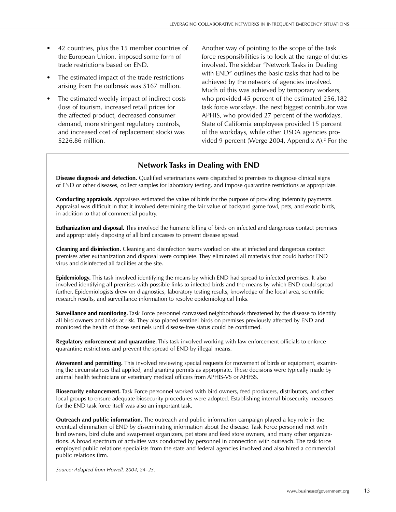- 42 countries, plus the 15 member countries of the European Union, imposed some form of trade restrictions based on END.
- The estimated impact of the trade restrictions arising from the outbreak was \$167 million.
- The estimated weekly impact of indirect costs (loss of tourism, increased retail prices for the affected product, decreased consumer demand, more stringent regulatory controls, and increased cost of replacement stock) was \$226.86 million.

Another way of pointing to the scope of the task force responsibilities is to look at the range of duties involved. The sidebar "Network Tasks in Dealing with END" outlines the basic tasks that had to be achieved by the network of agencies involved. Much of this was achieved by temporary workers, who provided 45 percent of the estimated 256,182 task force workdays. The next biggest contributor was APHIS, who provided 27 percent of the workdays. State of California employees provided 15 percent of the workdays, while other USDA agencies provided 9 percent (Werge 2004, Appendix A).<sup>2</sup> For the

# **Network Tasks in Dealing with END**

**Disease diagnosis and detection.** Qualified veterinarians were dispatched to premises to diagnose clinical signs of END or other diseases, collect samples for laboratory testing, and impose quarantine restrictions as appropriate.

**Conducting appraisals.** Appraisers estimated the value of birds for the purpose of providing indemnity payments. Appraisal was difficult in that it involved determining the fair value of backyard game fowl, pets, and exotic birds, in addition to that of commercial poultry.

**Euthanization and disposal.** This involved the humane killing of birds on infected and dangerous contact premises and appropriately disposing of all bird carcasses to prevent disease spread.

**Cleaning and disinfection.** Cleaning and disinfection teams worked on site at infected and dangerous contact premises after euthanization and disposal were complete. They eliminated all materials that could harbor END virus and disinfected all facilities at the site.

**Epidemiology.** This task involved identifying the means by which END had spread to infected premises. It also involved identifying all premises with possible links to infected birds and the means by which END could spread further. Epidemiologists drew on diagnostics, laboratory testing results, knowledge of the local area, scientific research results, and surveillance information to resolve epidemiological links.

**Surveillance and monitoring.** Task Force personnel canvassed neighborhoods threatened by the disease to identify all bird owners and birds at risk. They also placed sentinel birds on premises previously affected by END and monitored the health of those sentinels until disease-free status could be confirmed.

**Regulatory enforcement and quarantine.** This task involved working with law enforcement officials to enforce quarantine restrictions and prevent the spread of END by illegal means.

**Movement and permitting.** This involved reviewing special requests for movement of birds or equipment, examining the circumstances that applied, and granting permits as appropriate. These decisions were typically made by animal health technicians or veterinary medical officers from APHIS-VS or AHFSS.

**Biosecurity enhancement.** Task Force personnel worked with bird owners, feed producers, distributors, and other local groups to ensure adequate biosecurity procedures were adopted. Establishing internal biosecurity measures for the END task force itself was also an important task.

**Outreach and public information.** The outreach and public information campaign played a key role in the eventual elimination of END by disseminating information about the disease. Task Force personnel met with bird owners, bird clubs and swap-meet organizers, pet store and feed store owners, and many other organizations. A broad spectrum of activities was conducted by personnel in connection with outreach. The task force employed public relations specialists from the state and federal agencies involved and also hired a commercial public relations firm.

*Source: Adapted from Howell, 2004, 24–25.*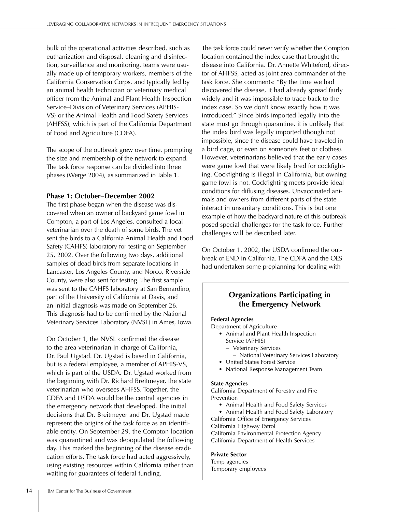bulk of the operational activities described, such as euthanization and disposal, cleaning and disinfection, surveillance and monitoring, teams were usually made up of temporary workers, members of the California Conservation Corps, and typically led by an animal health technician or veterinary medical officer from the Animal and Plant Health Inspection Service–Division of Veterinary Services (APHIS-VS) or the Animal Health and Food Safety Services (AHFSS), which is part of the California Department of Food and Agriculture (CDFA).

The scope of the outbreak grew over time, prompting the size and membership of the network to expand. The task force response can be divided into three phases (Werge 2004), as summarized in Table 1.

#### **Phase 1: October–December 2002**

The first phase began when the disease was discovered when an owner of backyard game fowl in Compton, a part of Los Angeles, consulted a local veterinarian over the death of some birds. The vet sent the birds to a California Animal Health and Food Safety (CAHFS) laboratory for testing on September 25, 2002. Over the following two days, additional samples of dead birds from separate locations in Lancaster, Los Angeles County, and Norco, Riverside County, were also sent for testing. The first sample was sent to the CAHFS laboratory at San Bernardino, part of the University of California at Davis, and an initial diagnosis was made on September 26. This diagnosis had to be confirmed by the National Veterinary Services Laboratory (NVSL) in Ames, Iowa.

On October 1, the NVSL confirmed the disease to the area veterinarian in charge of California, Dr. Paul Ugstad. Dr. Ugstad is based in California, but is a federal employee, a member of APHIS-VS, which is part of the USDA. Dr. Ugstad worked from the beginning with Dr. Richard Breitmeyer, the state veterinarian who oversees AHFSS. Together, the CDFA and USDA would be the central agencies in the emergency network that developed. The initial decisions that Dr. Breitmeyer and Dr. Ugstad made represent the origins of the task force as an identifiable entity. On September 29, the Compton location was quarantined and was depopulated the following day. This marked the beginning of the disease eradication efforts. The task force had acted aggressively, using existing resources within California rather than waiting for guarantees of federal funding.

The task force could never verify whether the Compton location contained the index case that brought the disease into California. Dr. Annette Whiteford, director of AHFSS, acted as joint area commander of the task force. She comments: "By the time we had discovered the disease, it had already spread fairly widely and it was impossible to trace back to the index case. So we don't know exactly how it was introduced." Since birds imported legally into the state must go through quarantine, it is unlikely that the index bird was legally imported (though not impossible, since the disease could have traveled in a bird cage, or even on someone's feet or clothes). However, veterinarians believed that the early cases were game fowl that were likely bred for cockfighting. Cockfighting is illegal in California, but owning game fowl is not. Cockfighting meets provide ideal conditions for diffusing diseases. Unvaccinated animals and owners from different parts of the state interact in unsanitary conditions. This is but one example of how the backyard nature of this outbreak posed special challenges for the task force. Further challenges will be described later.

On October 1, 2002, the USDA confirmed the outbreak of END in California. The CDFA and the OES had undertaken some preplanning for dealing with

## **Organizations Participating in the Emergency Network**

#### **Federal Agencies**

Department of Agriculture

- Animal and Plant Health Inspection Service (APHIS)
	- Veterinary Services
	- National Veterinary Services Laboratory
- United States Forest Service
- National Response Management Team

#### **State Agencies**

California Department of Forestry and Fire Prevention

- Animal Health and Food Safety Services
- Animal Health and Food Safety Laboratory California Office of Emergency Services

California Highway Patrol

California Environmental Protection Agency California Department of Health Services

#### **Private Sector**

Temp agencies Temporary employees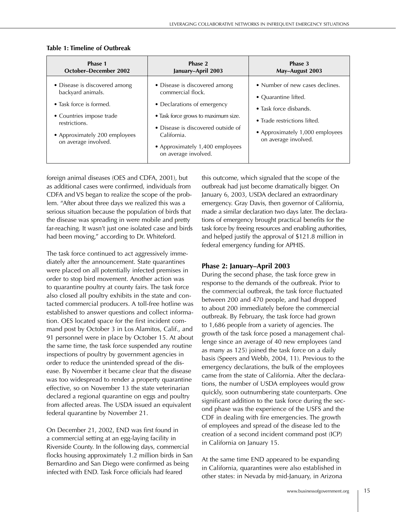| Phase 1                                                                                                                                                                             | Phase 2                                                                                                                                                                                                                                  | Phase 3                                                                                                                                                                      |
|-------------------------------------------------------------------------------------------------------------------------------------------------------------------------------------|------------------------------------------------------------------------------------------------------------------------------------------------------------------------------------------------------------------------------------------|------------------------------------------------------------------------------------------------------------------------------------------------------------------------------|
| <b>October-December 2002</b>                                                                                                                                                        | January-April 2003                                                                                                                                                                                                                       | May-August 2003                                                                                                                                                              |
| • Disease is discovered among<br>backyard animals.<br>• Task force is formed.<br>• Countries impose trade<br>restrictions.<br>• Approximately 200 employees<br>on average involved. | • Disease is discovered among<br>commercial flock.<br>• Declarations of emergency<br>• Task force grows to maximum size.<br>• Disease is discovered outside of<br>California.<br>• Approximately 1,400 employees<br>on average involved. | • Number of new cases declines.<br>• Quarantine lifted.<br>• Task force disbands.<br>• Trade restrictions lifted.<br>• Approximately 1,000 employees<br>on average involved. |

#### **Table 1: Timeline of Outbreak**

foreign animal diseases (OES and CDFA, 2001), but as additional cases were confirmed, individuals from CDFA and VS began to realize the scope of the problem. "After about three days we realized this was a serious situation because the population of birds that the disease was spreading in were mobile and pretty far-reaching. It wasn't just one isolated case and birds had been moving," according to Dr. Whiteford.

The task force continued to act aggressively immediately after the announcement. State quarantines were placed on all potentially infected premises in order to stop bird movement. Another action was to quarantine poultry at county fairs. The task force also closed all poultry exhibits in the state and contacted commercial producers. A toll-free hotline was established to answer questions and collect information. OES located space for the first incident command post by October 3 in Los Alamitos, Calif., and 91 personnel were in place by October 15. At about the same time, the task force suspended any routine inspections of poultry by government agencies in order to reduce the unintended spread of the disease. By November it became clear that the disease was too widespread to render a property quarantine effective, so on November 13 the state veterinarian declared a regional quarantine on eggs and poultry from affected areas. The USDA issued an equivalent federal quarantine by November 21.

On December 21, 2002, END was first found in a commercial setting at an egg-laying facility in Riverside County. In the following days, commercial flocks housing approximately 1.2 million birds in San Bernardino and San Diego were confirmed as being infected with END. Task Force officials had feared

this outcome, which signaled that the scope of the outbreak had just become dramatically bigger. On January 6, 2003, USDA declared an extraordinary emergency. Gray Davis, then governor of California, made a similar declaration two days later. The declarations of emergency brought practical benefits for the task force by freeing resources and enabling authorities, and helped justify the approval of \$121.8 million in federal emergency funding for APHIS.

## **Phase 2: January–April 2003**

During the second phase, the task force grew in response to the demands of the outbreak. Prior to the commercial outbreak, the task force fluctuated between 200 and 470 people, and had dropped to about 200 immediately before the commercial outbreak. By February, the task force had grown to 1,686 people from a variety of agencies. The growth of the task force posed a management challenge since an average of 40 new employees (and as many as 125) joined the task force on a daily basis (Speers and Webb, 2004, 11). Previous to the emergency declarations, the bulk of the employees came from the state of California. After the declarations, the number of USDA employees would grow quickly, soon outnumbering state counterparts. One significant addition to the task force during the second phase was the experience of the USFS and the CDF in dealing with fire emergencies. The growth of employees and spread of the disease led to the creation of a second incident command post (ICP) in California on January 15.

At the same time END appeared to be expanding in California, quarantines were also established in other states: in Nevada by mid-January, in Arizona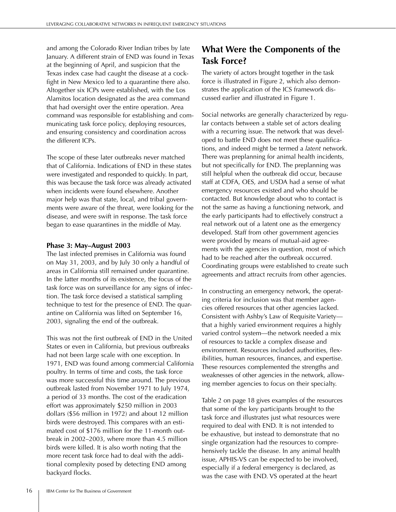and among the Colorado River Indian tribes by late January. A different strain of END was found in Texas at the beginning of April, and suspicion that the Texas index case had caught the disease at a cockfight in New Mexico led to a quarantine there also. Altogether six ICPs were established, with the Los Alamitos location designated as the area command that had oversight over the entire operation. Area command was responsible for establishing and communicating task force policy, deploying resources, and ensuring consistency and coordination across the different ICPs.

The scope of these later outbreaks never matched that of California. Indications of END in these states were investigated and responded to quickly. In part, this was because the task force was already activated when incidents were found elsewhere. Another major help was that state, local, and tribal governments were aware of the threat, were looking for the disease, and were swift in response. The task force began to ease quarantines in the middle of May.

#### **Phase 3: May–August 2003**

The last infected premises in California was found on May 31, 2003, and by July 30 only a handful of areas in California still remained under quarantine. In the latter months of its existence, the focus of the task force was on surveillance for any signs of infection. The task force devised a statistical sampling technique to test for the presence of END. The quarantine on California was lifted on September 16, 2003, signaling the end of the outbreak.

This was not the first outbreak of END in the United States or even in California, but previous outbreaks had not been large scale with one exception. In 1971, END was found among commercial California poultry. In terms of time and costs, the task force was more successful this time around. The previous outbreak lasted from November 1971 to July 1974, a period of 33 months. The cost of the eradication effort was approximately \$250 million in 2003 dollars (\$56 million in 1972) and about 12 million birds were destroyed. This compares with an estimated cost of \$176 million for the 11-month outbreak in 2002–2003, where more than 4.5 million birds were killed. It is also worth noting that the more recent task force had to deal with the additional complexity posed by detecting END among backyard flocks.

# **What Were the Components of the Task Force?**

The variety of actors brought together in the task force is illustrated in Figure 2, which also demonstrates the application of the ICS framework discussed earlier and illustrated in Figure 1.

Social networks are generally characterized by regular contacts between a stable set of actors dealing with a recurring issue. The network that was developed to battle END does not meet these qualifications, and indeed might be termed a *latent* network. There was preplanning for animal health incidents, but not specifically for END. The preplanning was still helpful when the outbreak did occur, because staff at CDFA, OES, and USDA had a sense of what emergency resources existed and who should be contacted. But knowledge about who to contact is not the same as having a functioning network, and the early participants had to effectively construct a real network out of a latent one as the emergency developed. Staff from other government agencies were provided by means of mutual-aid agreements with the agencies in question, most of which had to be reached after the outbreak occurred. Coordinating groups were established to create such agreements and attract recruits from other agencies.

In constructing an emergency network, the operating criteria for inclusion was that member agencies offered resources that other agencies lacked. Consistent with Ashby's Law of Requisite Variety that a highly varied environment requires a highly varied control system—the network needed a mix of resources to tackle a complex disease and environment. Resources included authorities, flexibilities, human resources, finances, and expertise. These resources complemented the strengths and weaknesses of other agencies in the network, allowing member agencies to focus on their specialty.

Table 2 on page 18 gives examples of the resources that some of the key participants brought to the task force and illustrates just what resources were required to deal with END. It is not intended to be exhaustive, but instead to demonstrate that no single organization had the resources to comprehensively tackle the disease. In any animal health issue, APHIS-VS can be expected to be involved, especially if a federal emergency is declared, as was the case with END. VS operated at the heart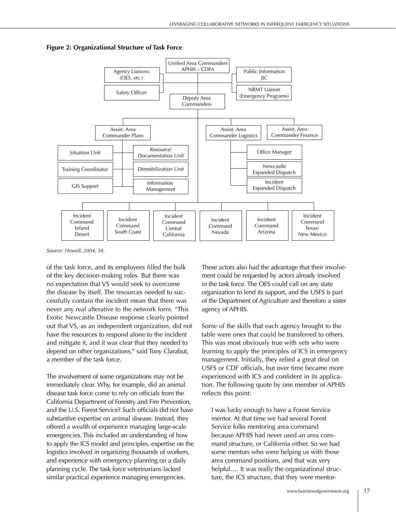

**Figure 2: Organizational Structure of Task Force**

*Source: Howell, 2004, 34.*

of the task force, and its employees filled the bulk of the key decision-making roles. But there was no expectation that VS would seek to overcome the disease by itself. The resources needed to successfully contain the incident mean that there was never any real alterative to the network form. "This Exotic Newcastle Disease response clearly pointed out that VS, as an independent organization, did not have the resources to respond alone to the incident and mitigate it, and it was clear that they needed to depend on other organizations," said Tony Clarabut, a member of the task force.

The involvement of some organizations may not be immediately clear. Why, for example, did an animal disease task force come to rely on officials from the California Department of Forestry and Fire Prevention, and the U.S. Forest Service? Such officials did not have substantive expertise on animal disease. Instead, they offered a wealth of experience managing large-scale emergencies. This included an understanding of how to apply the ICS model and principles, expertise on the logistics involved in organizing thousands of workers, and experience with emergency planning on a daily planning cycle. The task force veterinarians lacked similar practical experience managing emergencies.

These actors also had the advantage that their involvement could be requested by actors already involved in the task force. The OES could call on any state organization to lend its support, and the USFS is part of the Department of Agriculture and therefore a sister agency of APHIS.

Some of the skills that each agency brought to the table were ones that could be transferred to others. This was most obviously true with vets who were learning to apply the principles of ICS in emergency management. Initially, they relied a great deal on USFS or CDF officials, but over time became more experienced with ICS and confident in its application. The following quote by one member of APHIS reflects this point:

I was lucky enough to have a Forest Service mentor. At that time we had several Forest Service folks mentoring area command because APHIS had never used an area command structure, or California either. So we had some mentors who were helping us with those area command positions, and that was very helpful.... It was really the organizational structure, the ICS structure, that they were mentor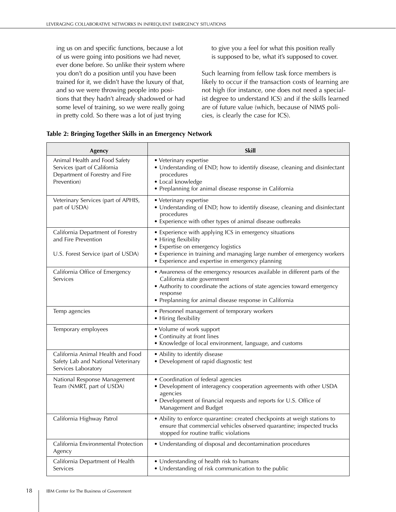ing us on and specific functions, because a lot of us were going into positions we had never, ever done before. So unlike their system where you don't do a position until you have been trained for it, we didn't have the luxury of that, and so we were throwing people into positions that they hadn't already shadowed or had some level of training, so we were really going in pretty cold. So there was a lot of just trying

to give you a feel for what this position really is supposed to be, what it's supposed to cover.

Such learning from fellow task force members is likely to occur if the transaction costs of learning are not high (for instance, one does not need a specialist degree to understand ICS) and if the skills learned are of future value (which, because of NIMS policies, is clearly the case for ICS).

|  |  |  | Table 2: Bringing Together Skills in an Emergency Network |  |
|--|--|--|-----------------------------------------------------------|--|
|  |  |  |                                                           |  |

| Agency                                                                                                          | <b>Skill</b>                                                                                                                                                                                                                                                 |
|-----------------------------------------------------------------------------------------------------------------|--------------------------------------------------------------------------------------------------------------------------------------------------------------------------------------------------------------------------------------------------------------|
| Animal Health and Food Safety<br>Services (part of California<br>Department of Forestry and Fire<br>Prevention) | • Veterinary expertise<br>• Understanding of END; how to identify disease, cleaning and disinfectant<br>procedures<br>• Local knowledge<br>• Preplanning for animal disease response in California                                                           |
| Veterinary Services (part of APHIS,<br>part of USDA)                                                            | • Veterinary expertise<br>• Understanding of END; how to identify disease, cleaning and disinfectant<br>procedures<br>• Experience with other types of animal disease outbreaks                                                                              |
| California Department of Forestry<br>and Fire Prevention<br>U.S. Forest Service (part of USDA)                  | • Experience with applying ICS in emergency situations<br>• Hiring flexibility<br>• Expertise on emergency logistics<br>• Experience in training and managing large number of emergency workers<br>• Experience and expertise in emergency planning          |
| California Office of Emergency<br>Services                                                                      | • Awareness of the emergency resources available in different parts of the<br>California state government<br>• Authority to coordinate the actions of state agencies toward emergency<br>response<br>• Preplanning for animal disease response in California |
| Temp agencies                                                                                                   | • Personnel management of temporary workers<br>• Hiring flexibility                                                                                                                                                                                          |
| Temporary employees                                                                                             | • Volume of work support<br>• Continuity at front lines<br>• Knowledge of local environment, language, and customs                                                                                                                                           |
| California Animal Health and Food<br>Safety Lab and National Veterinary<br>Services Laboratory                  | • Ability to identify disease<br>• Development of rapid diagnostic test                                                                                                                                                                                      |
| National Response Management<br>Team (NMRT, part of USDA)                                                       | • Coordination of federal agencies<br>• Development of interagency cooperation agreements with other USDA<br>agencies<br>• Development of financial requests and reports for U.S. Office of<br>Management and Budget                                         |
| California Highway Patrol                                                                                       | • Ability to enforce quarantine: created checkpoints at weigh stations to<br>ensure that commercial vehicles observed quarantine; inspected trucks<br>stopped for routine traffic violations                                                                 |
| California Environmental Protection<br>Agency                                                                   | • Understanding of disposal and decontamination procedures                                                                                                                                                                                                   |
| California Department of Health<br>Services                                                                     | • Understanding of health risk to humans<br>• Understanding of risk communication to the public                                                                                                                                                              |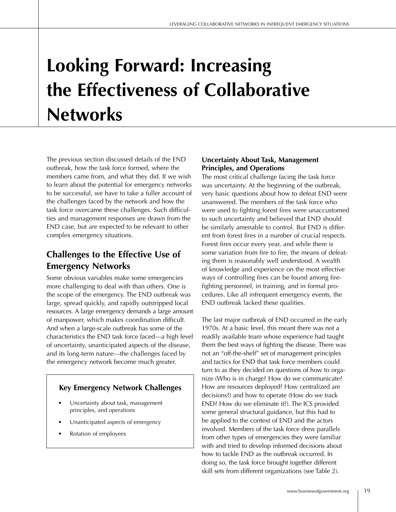# **Looking Forward: Increasing the Effectiveness of Collaborative Networks**

The previous section discussed details of the END outbreak, how the task force formed, where the members came from, and what they did. If we wish to learn about the potential for emergency networks to be successful, we have to take a fuller account of the challenges faced by the network and how the task force overcame these challenges. Such difficulties and management responses are drawn from the END case, but are expected to be relevant to other complex emergency situations.

# **Challenges to the Effective Use of Emergency Networks**

Some obvious variables make some emergencies more challenging to deal with than others. One is the scope of the emergency. The END outbreak was large, spread quickly, and rapidly outstripped local resources. A large emergency demands a large amount of manpower, which makes coordination difficult. And when a large-scale outbreak has some of the characteristics the END task force faced—a high level of uncertainty, unanticipated aspects of the disease, and its long-term nature—the challenges faced by the emergency network become much greater.

## **Key Emergency Network Challenges**

- Uncertainty about task, management principles, and operations
- Unanticipated aspects of emergency
- Rotation of employees

## **Uncertainty About Task, Management Principles, and Operations**

The most critical challenge facing the task force was uncertainty. At the beginning of the outbreak, very basic questions about how to defeat END were unanswered. The members of the task force who were used to fighting forest fires were unaccustomed to such uncertainty and believed that END should be similarly amenable to control. But END is different from forest fires in a number of crucial respects. Forest fires occur every year, and while there is some variation from fire to fire, the means of defeating them is reasonably well understood. A wealth of knowledge and experience on the most effective ways of controlling fires can be found among firefighting personnel, in training, and in formal procedures. Like all infrequent emergency events, the END outbreak lacked these qualities.

The last major outbreak of END occurred in the early 1970s. At a basic level, this meant there was not a readily available team whose experience had taught them the best ways of fighting the disease. There was not an "off-the-shelf" set of management principles and tactics for END that task force members could turn to as they decided on questions of how to organize (Who is in charge? How do we communicate? How are resources deployed? How centralized are decisions?) and how to operate (How do we track END? How do we eliminate it?). The ICS provided some general structural guidance, but this had to be applied to the context of END and the actors involved. Members of the task force drew parallels from other types of emergencies they were familiar with and tried to develop informed decisions about how to tackle END as the outbreak occurred. In doing so, the task force brought together different skill sets from different organizations (see Table 2).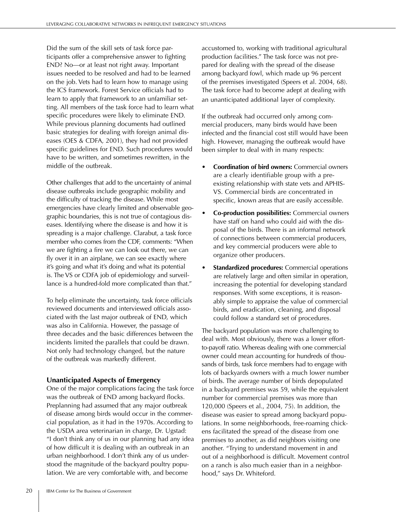Did the sum of the skill sets of task force participants offer a comprehensive answer to fighting END? No—or at least not right away. Important issues needed to be resolved and had to be learned on the job. Vets had to learn how to manage using the ICS framework. Forest Service officials had to learn to apply that framework to an unfamiliar setting. All members of the task force had to learn what specific procedures were likely to eliminate END. While previous planning documents had outlined basic strategies for dealing with foreign animal diseases (OES & CDFA, 2001), they had not provided specific guidelines for END. Such procedures would have to be written, and sometimes rewritten, in the middle of the outbreak.

Other challenges that add to the uncertainty of animal disease outbreaks include geographic mobility and the difficulty of tracking the disease. While most emergencies have clearly limited and observable geographic boundaries, this is not true of contagious diseases. Identifying where the disease is and how it is spreading is a major challenge. Clarabut, a task force member who comes from the CDF, comments: "When we are fighting a fire we can look out there, we can fly over it in an airplane, we can see exactly where it's going and what it's doing and what its potential is. The VS or CDFA job of epidemiology and surveillance is a hundred-fold more complicated than that."

To help eliminate the uncertainty, task force officials reviewed documents and interviewed officials associated with the last major outbreak of END, which was also in California. However, the passage of three decades and the basic differences between the incidents limited the parallels that could be drawn. Not only had technology changed, but the nature of the outbreak was markedly different.

## **Unanticipated Aspects of Emergency**

One of the major complications facing the task force was the outbreak of END among backyard flocks. Preplanning had assumed that any major outbreak of disease among birds would occur in the commercial population, as it had in the 1970s. According to the USDA area veterinarian in charge, Dr. Ugstad: "I don't think any of us in our planning had any idea of how difficult it is dealing with an outbreak in an urban neighborhood. I don't think any of us understood the magnitude of the backyard poultry population. We are very comfortable with, and become

accustomed to, working with traditional agricultural production facilities." The task force was not prepared for dealing with the spread of the disease among backyard fowl, which made up 96 percent of the premises investigated (Speers et al. 2004, 68). The task force had to become adept at dealing with an unanticipated additional layer of complexity.

If the outbreak had occurred only among commercial producers, many birds would have been infected and the financial cost still would have been high. However, managing the outbreak would have been simpler to deal with in many respects:

- **Coordination of bird owners:** Commercial owners are a clearly identifiable group with a preexisting relationship with state vets and APHIS-VS. Commercial birds are concentrated in specific, known areas that are easily accessible.
- **Co-production possibilities:** Commercial owners have staff on hand who could aid with the disposal of the birds. There is an informal network of connections between commercial producers, and key commercial producers were able to organize other producers.
- **Standardized procedures:** Commercial operations are relatively large and often similar in operation, increasing the potential for developing standard responses. With some exceptions, it is reasonably simple to appraise the value of commercial birds, and eradication, cleaning, and disposal could follow a standard set of procedures.

The backyard population was more challenging to deal with. Most obviously, there was a lower effortto-payoff ratio. Whereas dealing with one commercial owner could mean accounting for hundreds of thousands of birds, task force members had to engage with lots of backyards owners with a much lower number of birds. The average number of birds depopulated in a backyard premises was 59, while the equivalent number for commercial premises was more than 120,000 (Speers et al., 2004, 75). In addition, the disease was easier to spread among backyard populations. In some neighborhoods, free-roaming chickens facilitated the spread of the disease from one premises to another, as did neighbors visiting one another. "Trying to understand movement in and out of a neighborhood is difficult. Movement control on a ranch is also much easier than in a neighborhood," says Dr. Whiteford.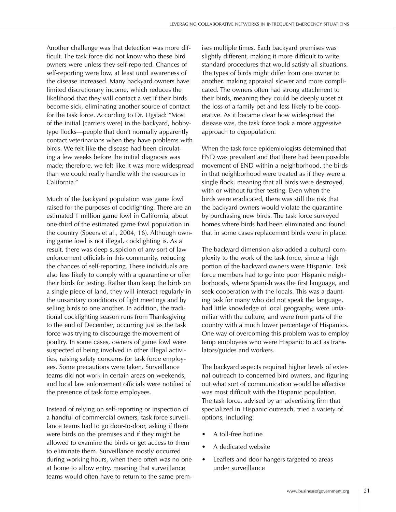Another challenge was that detection was more difficult. The task force did not know who these bird owners were unless they self-reported. Chances of self-reporting were low, at least until awareness of the disease increased. Many backyard owners have limited discretionary income, which reduces the likelihood that they will contact a vet if their birds become sick, eliminating another source of contact for the task force. According to Dr. Ugstad: "Most of the initial [carriers were] in the backyard, hobbytype flocks—people that don't normally apparently contact veterinarians when they have problems with birds. We felt like the disease had been circulating a few weeks before the initial diagnosis was made; therefore, we felt like it was more widespread than we could really handle with the resources in California."

Much of the backyard population was game fowl raised for the purposes of cockfighting. There are an estimated 1 million game fowl in California, about one-third of the estimated game fowl population in the country (Speers et al., 2004, 16). Although owning game fowl is not illegal, cockfighting is. As a result, there was deep suspicion of any sort of law enforcement officials in this community, reducing the chances of self-reporting. These individuals are also less likely to comply with a quarantine or offer their birds for testing. Rather than keep the birds on a single piece of land, they will interact regularly in the unsanitary conditions of fight meetings and by selling birds to one another. In addition, the traditional cockfighting season runs from Thanksgiving to the end of December, occurring just as the task force was trying to discourage the movement of poultry. In some cases, owners of game fowl were suspected of being involved in other illegal activities, raising safety concerns for task force employees. Some precautions were taken. Surveillance teams did not work in certain areas on weekends, and local law enforcement officials were notified of the presence of task force employees.

Instead of relying on self-reporting or inspection of a handful of commercial owners, task force surveillance teams had to go door-to-door, asking if there were birds on the premises and if they might be allowed to examine the birds or get access to them to eliminate them. Surveillance mostly occurred during working hours, when there often was no one at home to allow entry, meaning that surveillance teams would often have to return to the same prem-

ises multiple times. Each backyard premises was slightly different, making it more difficult to write standard procedures that would satisfy all situations. The types of birds might differ from one owner to another, making appraisal slower and more complicated. The owners often had strong attachment to their birds, meaning they could be deeply upset at the loss of a family pet and less likely to be cooperative. As it became clear how widespread the disease was, the task force took a more aggressive approach to depopulation.

When the task force epidemiologists determined that END was prevalent and that there had been possible movement of END within a neighborhood, the birds in that neighborhood were treated as if they were a single flock, meaning that all birds were destroyed, with or without further testing. Even when the birds were eradicated, there was still the risk that the backyard owners would violate the quarantine by purchasing new birds. The task force surveyed homes where birds had been eliminated and found that in some cases replacement birds were in place.

The backyard dimension also added a cultural complexity to the work of the task force, since a high portion of the backyard owners were Hispanic. Task force members had to go into poor Hispanic neighborhoods, where Spanish was the first language, and seek cooperation with the locals. This was a daunting task for many who did not speak the language, had little knowledge of local geography, were unfamiliar with the culture, and were from parts of the country with a much lower percentage of Hispanics. One way of overcoming this problem was to employ temp employees who were Hispanic to act as translators/guides and workers.

The backyard aspects required higher levels of external outreach to concerned bird owners, and figuring out what sort of communication would be effective was most difficult with the Hispanic population. The task force, advised by an advertising firm that specialized in Hispanic outreach, tried a variety of options, including:

- A toll-free hotline
- A dedicated website
- Leaflets and door hangers targeted to areas under surveillance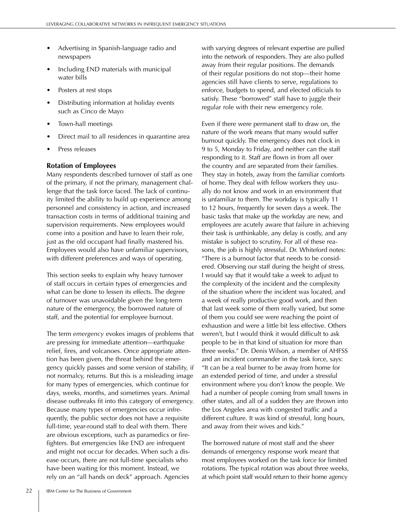- Advertising in Spanish-language radio and newspapers
- Including END materials with municipal water bills
- Posters at rest stops
- Distributing information at holiday events such as Cinco de Mayo
- Town-hall meetings
- Direct mail to all residences in quarantine area
- Press releases

### **Rotation of Employees**

Many respondents described turnover of staff as one of the primary, if not the primary, management challenge that the task force faced. The lack of continuity limited the ability to build up experience among personnel and consistency in action, and increased transaction costs in terms of additional training and supervision requirements. New employees would come into a position and have to learn their role, just as the old occupant had finally mastered his. Employees would also have unfamiliar supervisors, with different preferences and ways of operating.

This section seeks to explain why heavy turnover of staff occurs in certain types of emergencies and what can be done to lessen its effects. The degree of turnover was unavoidable given the long-term nature of the emergency, the borrowed nature of staff, and the potential for employee burnout.

The term *emergency* evokes images of problems that are pressing for immediate attention—earthquake relief, fires, and volcanoes. Once appropriate attention has been given, the threat behind the emergency quickly passes and some version of stability, if not normalcy, returns. But this is a misleading image for many types of emergencies, which continue for days, weeks, months, and sometimes years. Animal disease outbreaks fit into this category of emergency. Because many types of emergencies occur infrequently, the public sector does not have a requisite full-time, year-round staff to deal with them. There are obvious exceptions, such as paramedics or firefighters. But emergencies like END are infrequent and might not occur for decades. When such a disease occurs, there are not full-time specialists who have been waiting for this moment. Instead, we rely on an "all hands on deck" approach. Agencies

with varying degrees of relevant expertise are pulled into the network of responders. They are also pulled away from their regular positions. The demands of their regular positions do not stop—their home agencies still have clients to serve, regulations to enforce, budgets to spend, and elected officials to satisfy. These "borrowed" staff have to juggle their regular role with their new emergency role.

Even if there were permanent staff to draw on, the nature of the work means that many would suffer burnout quickly. The emergency does not clock in 9 to 5, Monday to Friday, and neither can the staff responding to it. Staff are flown in from all over the country and are separated from their families. They stay in hotels, away from the familiar comforts of home. They deal with fellow workers they usually do not know and work in an environment that is unfamiliar to them. The workday is typically 11 to 12 hours, frequently for seven days a week. The basic tasks that make up the workday are new, and employees are acutely aware that failure in achieving their task is unthinkable, any delay is costly, and any mistake is subject to scrutiny. For all of these reasons, the job is highly stressful. Dr. Whiteford notes: "There is a burnout factor that needs to be considered. Observing our staff during the height of stress, I would say that it would take a week to adjust to the complexity of the incident and the complexity of the situation where the incident was located, and a week of really productive good work, and then that last week some of them really varied, but some of them you could see were reaching the point of exhaustion and were a little bit less effective. Others weren't, but I would think it would difficult to ask people to be in that kind of situation for more than three weeks." Dr. Denis Wilson, a member of AHFSS and an incident commander in the task force, says: "It can be a real burner to be away from home for an extended period of time, and under a stressful environment where you don't know the people. We had a number of people coming from small towns in other states, and all of a sudden they are thrown into the Los Angeles area with congested traffic and a different culture. It was kind of stressful, long hours, and away from their wives and kids."

The borrowed nature of most staff and the sheer demands of emergency response work meant that most employees worked on the task force for limited rotations. The typical rotation was about three weeks, at which point staff would return to their home agency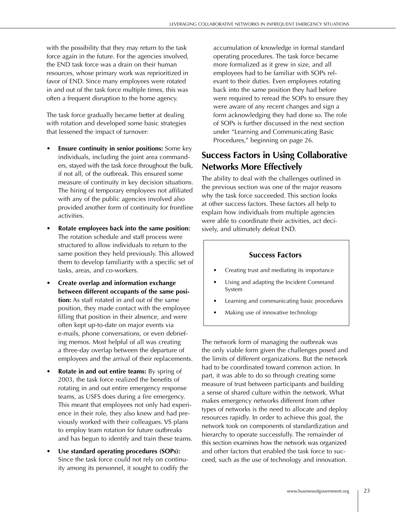with the possibility that they may return to the task force again in the future. For the agencies involved, the END task force was a drain on their human resources, whose primary work was reprioritized in favor of END. Since many employees were rotated in and out of the task force multiple times, this was often a frequent disruption to the home agency.

The task force gradually became better at dealing with rotation and developed some basic strategies that lessened the impact of turnover:

- **Ensure continuity in senior positions:** Some key individuals, including the joint area commanders, stayed with the task force throughout the bulk, if not all, of the outbreak. This ensured some measure of continuity in key decision situations. The hiring of temporary employees not affiliated with any of the public agencies involved also provided another form of continuity for frontline activities.
- **Rotate employees back into the same position:** The rotation schedule and staff process were structured to allow individuals to return to the same position they held previously. This allowed them to develop familiarity with a specific set of tasks, areas, and co-workers.
- **Create overlap and information exchange between different occupants of the same position:** As staff rotated in and out of the same position, they made contact with the employee filling that position in their absence, and were often kept up-to-date on major events via e-mails, phone conversations, or even debriefing memos. Most helpful of all was creating a three-day overlap between the departure of employees and the arrival of their replacements.
- **Rotate in and out entire teams:** By spring of 2003, the task force realized the benefits of rotating in and out entire emergency response teams, as USFS does during a fire emergency. This meant that employees not only had experience in their role, they also knew and had previously worked with their colleagues. VS plans to employ team rotation for future outbreaks and has begun to identify and train these teams.
- **Use standard operating procedures (SOPs):**  Since the task force could not rely on continuity among its personnel, it sought to codify the

accumulation of knowledge in formal standard operating procedures. The task force became more formalized as it grew in size, and all employees had to be familiar with SOPs relevant to their duties. Even employees rotating back into the same position they had before were required to reread the SOPs to ensure they were aware of any recent changes and sign a form acknowledging they had done so. The role of SOPs is further discussed in the next section under "Learning and Communicating Basic Procedures," beginning on page 26.

# **Success Factors in Using Collaborative Networks More Effectively**

The ability to deal with the challenges outlined in the previous section was one of the major reasons why the task force succeeded. This section looks at other success factors. These factors all help to explain how individuals from multiple agencies were able to coordinate their activities, act decisively, and ultimately defeat END.

#### **Success Factors**

- Creating trust and mediating its importance
- Using and adapting the Incident Command System
- Learning and communicating basic procedures
- Making use of innovative technology

The network form of managing the outbreak was the only viable form given the challenges posed and the limits of different organizations. But the network had to be coordinated toward common action. In part, it was able to do so through creating some measure of trust between participants and building a sense of shared culture within the network. What makes emergency networks different from other types of networks is the need to allocate and deploy resources rapidly. In order to achieve this goal, the network took on components of standardization and hierarchy to operate successfully. The remainder of this section examines how the network was organized and other factors that enabled the task force to succeed, such as the use of technology and innovation.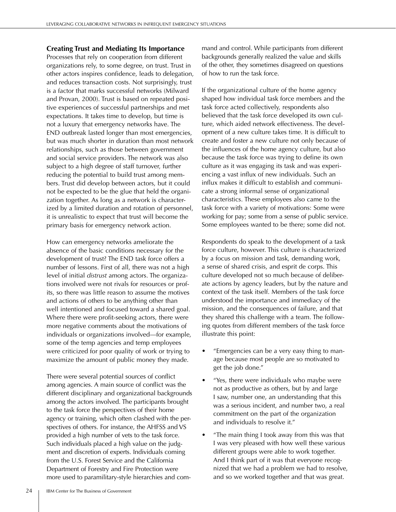#### **Creating Trust and Mediating Its Importance**

Processes that rely on cooperation from different organizations rely, to some degree, on trust. Trust in other actors inspires confidence, leads to delegation, and reduces transaction costs. Not surprisingly, trust is a factor that marks successful networks (Milward and Provan, 2000). Trust is based on repeated positive experiences of successful partnerships and met expectations. It takes time to develop, but time is not a luxury that emergency networks have. The END outbreak lasted longer than most emergencies, but was much shorter in duration than most network relationships, such as those between government and social service providers. The network was also subject to a high degree of staff turnover, further reducing the potential to build trust among members. Trust did develop between actors, but it could not be expected to be the glue that held the organization together. As long as a network is characterized by a limited duration and rotation of personnel, it is unrealistic to expect that trust will become the primary basis for emergency network action.

How can emergency networks ameliorate the absence of the basic conditions necessary for the development of trust? The END task force offers a number of lessons. First of all, there was not a high level of initial *distrust* among actors. The organizations involved were not rivals for resources or profits, so there was little reason to assume the motives and actions of others to be anything other than well intentioned and focused toward a shared goal. Where there were profit-seeking actors, there were more negative comments about the motivations of individuals or organizations involved—for example, some of the temp agencies and temp employees were criticized for poor quality of work or trying to maximize the amount of public money they made.

There were several potential sources of conflict among agencies. A main source of conflict was the different disciplinary and organizational backgrounds among the actors involved. The participants brought to the task force the perspectives of their home agency or training, which often clashed with the perspectives of others. For instance, the AHFSS and VS provided a high number of vets to the task force. Such individuals placed a high value on the judgment and discretion of experts. Individuals coming from the U.S. Forest Service and the California Department of Forestry and Fire Protection were more used to paramilitary-style hierarchies and com-

mand and control. While participants from different backgrounds generally realized the value and skills of the other, they sometimes disagreed on questions of how to run the task force.

If the organizational culture of the home agency shaped how individual task force members and the task force acted collectively, respondents also believed that the task force developed its own culture, which aided network effectiveness. The development of a new culture takes time. It is difficult to create and foster a new culture not only because of the influences of the home agency culture, but also because the task force was trying to define its own culture as it was engaging its task and was experiencing a vast influx of new individuals. Such an influx makes it difficult to establish and communicate a strong informal sense of organizational characteristics. These employees also came to the task force with a variety of motivations: Some were working for pay; some from a sense of public service. Some employees wanted to be there; some did not.

Respondents do speak to the development of a task force culture, however. This culture is characterized by a focus on mission and task, demanding work, a sense of shared crisis, and esprit de corps. This culture developed not so much because of deliberate actions by agency leaders, but by the nature and context of the task itself. Members of the task force understood the importance and immediacy of the mission, and the consequences of failure, and that they shared this challenge with a team. The following quotes from different members of the task force illustrate this point:

- "Emergencies can be a very easy thing to manage because most people are so motivated to get the job done."
- "Yes, there were individuals who maybe were not as productive as others, but by and large I saw, number one, an understanding that this was a serious incident, and number two, a real commitment on the part of the organization and individuals to resolve it."
- "The main thing I took away from this was that I was very pleased with how well these various different groups were able to work together. And I think part of it was that everyone recognized that we had a problem we had to resolve, and so we worked together and that was great.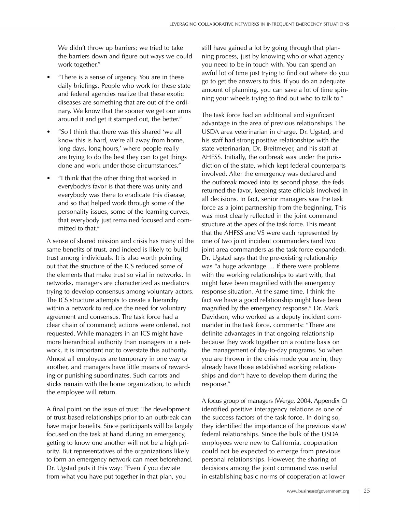We didn't throw up barriers; we tried to take the barriers down and figure out ways we could work together."

- "There is a sense of urgency. You are in these daily briefings. People who work for these state and federal agencies realize that these exotic diseases are something that are out of the ordinary. We know that the sooner we get our arms around it and get it stamped out, the better."
- "So I think that there was this shared 'we all know this is hard, we're all away from home, long days, long hours,' where people really are trying to do the best they can to get things done and work under those circumstances."
- "I think that the other thing that worked in everybody's favor is that there was unity and everybody was there to eradicate this disease, and so that helped work through some of the personality issues, some of the learning curves, that everybody just remained focused and committed to that."

A sense of shared mission and crisis has many of the same benefits of trust, and indeed is likely to build trust among individuals. It is also worth pointing out that the structure of the ICS reduced some of the elements that make trust so vital in networks. In networks, managers are characterized as mediators trying to develop consensus among voluntary actors. The ICS structure attempts to create a hierarchy within a network to reduce the need for voluntary agreement and consensus. The task force had a clear chain of command; actions were ordered, not requested. While managers in an ICS might have more hierarchical authority than managers in a network, it is important not to overstate this authority. Almost all employees are temporary in one way or another, and managers have little means of rewarding or punishing subordinates. Such carrots and sticks remain with the home organization, to which the employee will return.

A final point on the issue of trust: The development of trust-based relationships prior to an outbreak can have major benefits. Since participants will be largely focused on the task at hand during an emergency, getting to know one another will not be a high priority. But representatives of the organizations likely to form an emergency network can meet beforehand. Dr. Ugstad puts it this way: "Even if you deviate from what you have put together in that plan, you

still have gained a lot by going through that planning process, just by knowing who or what agency you need to be in touch with. You can spend an awful lot of time just trying to find out where do you go to get the answers to this. If you do an adequate amount of planning, you can save a lot of time spinning your wheels trying to find out who to talk to."

The task force had an additional and significant advantage in the area of previous relationships. The USDA area veterinarian in charge, Dr. Ugstad, and his staff had strong positive relationships with the state veterinarian, Dr. Breitmeyer, and his staff at AHFSS. Initially, the outbreak was under the jurisdiction of the state, which kept federal counterparts involved. After the emergency was declared and the outbreak moved into its second phase, the feds returned the favor, keeping state officials involved in all decisions. In fact, senior managers saw the task force as a joint partnership from the beginning. This was most clearly reflected in the joint command structure at the apex of the task force. This meant that the AHFSS and VS were each represented by one of two joint incident commanders (and two joint area commanders as the task force expanded). Dr. Ugstad says that the pre-existing relationship was "a huge advantage.… If there were problems with the working relationships to start with, that might have been magnified with the emergency response situation. At the same time, I think the fact we have a good relationship might have been magnified by the emergency response." Dr. Mark Davidson, who worked as a deputy incident commander in the task force, comments: "There are definite advantages in that ongoing relationship because they work together on a routine basis on the management of day-to-day programs. So when you are thrown in the crisis mode you are in, they already have those established working relationships and don't have to develop them during the response."

A focus group of managers (Werge, 2004, Appendix C) identified positive interagency relations as one of the success factors of the task force. In doing so, they identified the importance of the previous state/ federal relationships. Since the bulk of the USDA employees were new to California, cooperation could not be expected to emerge from previous personal relationships. However, the sharing of decisions among the joint command was useful in establishing basic norms of cooperation at lower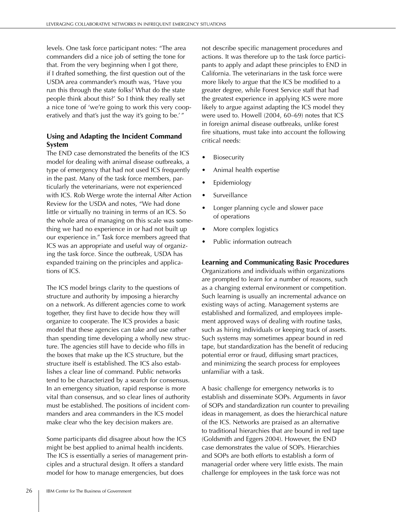levels. One task force participant notes: "The area commanders did a nice job of setting the tone for that. From the very beginning when I got there, if I drafted something, the first question out of the USDA area commander's mouth was, 'Have you run this through the state folks? What do the state people think about this?' So I think they really set a nice tone of 'we're going to work this very cooperatively and that's just the way it's going to be.'"

### **Using and Adapting the Incident Command System**

The END case demonstrated the benefits of the ICS model for dealing with animal disease outbreaks, a type of emergency that had not used ICS frequently in the past. Many of the task force members, particularly the veterinarians, were not experienced with ICS. Rob Werge wrote the internal After Action Review for the USDA and notes, "We had done little or virtually no training in terms of an ICS. So the whole area of managing on this scale was something we had no experience in or had not built up our experience in." Task force members agreed that ICS was an appropriate and useful way of organizing the task force. Since the outbreak, USDA has expanded training on the principles and applications of ICS.

The ICS model brings clarity to the questions of structure and authority by imposing a hierarchy on a network. As different agencies come to work together, they first have to decide how they will organize to cooperate. The ICS provides a basic model that these agencies can take and use rather than spending time developing a wholly new structure. The agencies still have to decide who fills in the boxes that make up the ICS structure, but the structure itself is established. The ICS also establishes a clear line of command. Public networks tend to be characterized by a search for consensus. In an emergency situation, rapid response is more vital than consensus, and so clear lines of authority must be established. The positions of incident commanders and area commanders in the ICS model make clear who the key decision makers are.

Some participants did disagree about how the ICS might be best applied to animal health incidents. The ICS is essentially a series of management principles and a structural design. It offers a standard model for how to manage emergencies, but does

not describe specific management procedures and actions. It was therefore up to the task force participants to apply and adapt these principles to END in California. The veterinarians in the task force were more likely to argue that the ICS be modified to a greater degree, while Forest Service staff that had the greatest experience in applying ICS were more likely to argue against adapting the ICS model they were used to. Howell (2004, 60–69) notes that ICS in foreign animal disease outbreaks, unlike forest fire situations, must take into account the following critical needs:

- **Biosecurity**
- Animal health expertise
- Epidemiology
- Surveillance
- Longer planning cycle and slower pace of operations
- More complex logistics
- Public information outreach

#### **Learning and Communicating Basic Procedures**

Organizations and individuals within organizations are prompted to learn for a number of reasons, such as a changing external environment or competition. Such learning is usually an incremental advance on existing ways of acting. Management systems are established and formalized, and employees implement approved ways of dealing with routine tasks, such as hiring individuals or keeping track of assets. Such systems may sometimes appear bound in red tape, but standardization has the benefit of reducing potential error or fraud, diffusing smart practices, and minimizing the search process for employees unfamiliar with a task.

A basic challenge for emergency networks is to establish and disseminate SOPs. Arguments in favor of SOPs and standardization run counter to prevailing ideas in management, as does the hierarchical nature of the ICS. Networks are praised as an alternative to traditional hierarchies that are bound in red tape (Goldsmith and Eggers 2004). However, the END case demonstrates the value of SOPs. Hierarchies and SOPs are both efforts to establish a form of managerial order where very little exists. The main challenge for employees in the task force was not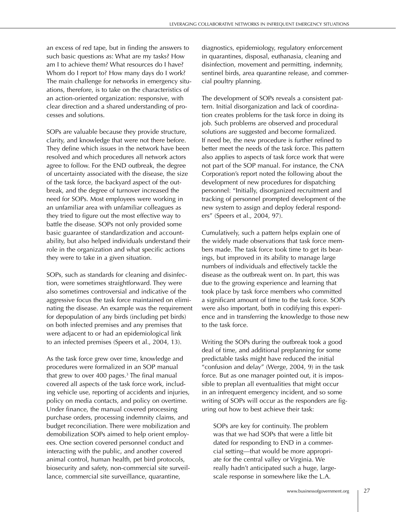an excess of red tape, but in finding the answers to such basic questions as: What are my tasks? How am I to achieve them? What resources do I have? Whom do I report to? How many days do I work? The main challenge for networks in emergency situations, therefore, is to take on the characteristics of an action-oriented organization: responsive, with clear direction and a shared understanding of processes and solutions.

SOPs are valuable because they provide structure, clarity, and knowledge that were not there before. They define which issues in the network have been resolved and which procedures all network actors agree to follow. For the END outbreak, the degree of uncertainty associated with the disease, the size of the task force, the backyard aspect of the outbreak, and the degree of turnover increased the need for SOPs. Most employees were working in an unfamiliar area with unfamiliar colleagues as they tried to figure out the most effective way to battle the disease. SOPs not only provided some basic guarantee of standardization and accountability, but also helped individuals understand their role in the organization and what specific actions they were to take in a given situation.

SOPs, such as standards for cleaning and disinfection, were sometimes straightforward. They were also sometimes controversial and indicative of the aggressive focus the task force maintained on eliminating the disease. An example was the requirement for depopulation of any birds (including pet birds) on both infected premises and any premises that were adjacent to or had an epidemiological link to an infected premises (Speers et al., 2004, 13).

As the task force grew over time, knowledge and procedures were formalized in an SOP manual that grew to over 400 pages.<sup>3</sup> The final manual covered all aspects of the task force work, including vehicle use, reporting of accidents and injuries, policy on media contacts, and policy on overtime. Under finance, the manual covered processing purchase orders, processing indemnity claims, and budget reconciliation. There were mobilization and demobilization SOPs aimed to help orient employees. One section covered personnel conduct and interacting with the public, and another covered animal control, human health, pet bird protocols, biosecurity and safety, non-commercial site surveillance, commercial site surveillance, quarantine,

diagnostics, epidemiology, regulatory enforcement in quarantines, disposal, euthanasia, cleaning and disinfection, movement and permitting, indemnity, sentinel birds, area quarantine release, and commercial poultry planning.

The development of SOPs reveals a consistent pattern. Initial disorganization and lack of coordination creates problems for the task force in doing its job. Such problems are observed and procedural solutions are suggested and become formalized. If need be, the new procedure is further refined to better meet the needs of the task force. This pattern also applies to aspects of task force work that were not part of the SOP manual. For instance, the CNA Corporation's report noted the following about the development of new procedures for dispatching personnel: "Initially, disorganized recruitment and tracking of personnel prompted development of the new system to assign and deploy federal responders" (Speers et al., 2004, 97).

Cumulatively, such a pattern helps explain one of the widely made observations that task force members made. The task force took time to get its bearings, but improved in its ability to manage large numbers of individuals and effectively tackle the disease as the outbreak went on. In part, this was due to the growing experience and learning that took place by task force members who committed a significant amount of time to the task force. SOPs were also important, both in codifying this experience and in transferring the knowledge to those new to the task force.

Writing the SOPs during the outbreak took a good deal of time, and additional preplanning for some predictable tasks might have reduced the initial "confusion and delay" (Werge, 2004, 9) in the task force. But as one manager pointed out, it is impossible to preplan all eventualities that might occur in an infrequent emergency incident, and so some writing of SOPs will occur as the responders are figuring out how to best achieve their task:

SOPs are key for continuity. The problem was that we had SOPs that were a little bit dated for responding to END in a commercial setting—that would be more appropriate for the central valley or Virginia. We really hadn't anticipated such a huge, largescale response in somewhere like the L.A.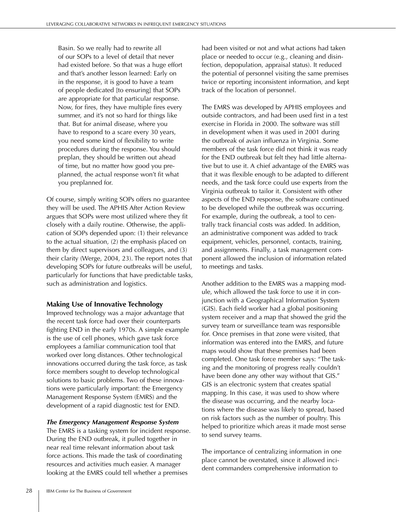Basin. So we really had to rewrite all of our SOPs to a level of detail that never had existed before. So that was a huge effort and that's another lesson learned: Early on in the response, it is good to have a team of people dedicated [to ensuring] that SOPs are appropriate for that particular response. Now, for fires, they have multiple fires every summer, and it's not so hard for things like that. But for animal disease, where you have to respond to a scare every 30 years, you need some kind of flexibility to write procedures during the response. You should preplan, they should be written out ahead of time, but no matter how good you preplanned, the actual response won't fit what you preplanned for.

Of course, simply writing SOPs offers no guarantee they will be used. The APHIS After Action Review argues that SOPs were most utilized where they fit closely with a daily routine. Otherwise, the application of SOPs depended upon: (1) their relevance to the actual situation, (2) the emphasis placed on them by direct supervisors and colleagues, and (3) their clarity (Werge, 2004, 23). The report notes that developing SOPs for future outbreaks will be useful, particularly for functions that have predictable tasks, such as administration and logistics.

#### **Making Use of Innovative Technology**

Improved technology was a major advantage that the recent task force had over their counterparts fighting END in the early 1970s. A simple example is the use of cell phones, which gave task force employees a familiar communication tool that worked over long distances. Other technological innovations occurred during the task force, as task force members sought to develop technological solutions to basic problems. Two of these innovations were particularly important: the Emergency Management Response System (EMRS) and the development of a rapid diagnostic test for END.

#### *The Emergency Management Response System*

The EMRS is a tasking system for incident response. During the END outbreak, it pulled together in near real time relevant information about task force actions. This made the task of coordinating resources and activities much easier. A manager looking at the EMRS could tell whether a premises

had been visited or not and what actions had taken place or needed to occur (e.g., cleaning and disinfection, depopulation, appraisal status). It reduced the potential of personnel visiting the same premises twice or reporting inconsistent information, and kept track of the location of personnel.

The EMRS was developed by APHIS employees and outside contractors, and had been used first in a test exercise in Florida in 2000. The software was still in development when it was used in 2001 during the outbreak of avian influenza in Virginia. Some members of the task force did not think it was ready for the END outbreak but felt they had little alternative but to use it. A chief advantage of the EMRS was that it was flexible enough to be adapted to different needs, and the task force could use experts from the Virginia outbreak to tailor it. Consistent with other aspects of the END response, the software continued to be developed while the outbreak was occurring. For example, during the outbreak, a tool to centrally track financial costs was added. In addition, an administrative component was added to track equipment, vehicles, personnel, contacts, training, and assignments. Finally, a task management component allowed the inclusion of information related to meetings and tasks.

Another addition to the EMRS was a mapping module, which allowed the task force to use it in conjunction with a Geographical Information System (GIS). Each field worker had a global positioning system receiver and a map that showed the grid the survey team or surveillance team was responsible for. Once premises in that zone were visited, that information was entered into the EMRS, and future maps would show that these premises had been completed. One task force member says: "The tasking and the monitoring of progress really couldn't have been done any other way without that GIS." GIS is an electronic system that creates spatial mapping. In this case, it was used to show where the disease was occurring, and the nearby locations where the disease was likely to spread, based on risk factors such as the number of poultry. This helped to prioritize which areas it made most sense to send survey teams.

The importance of centralizing information in one place cannot be overstated, since it allowed incident commanders comprehensive information to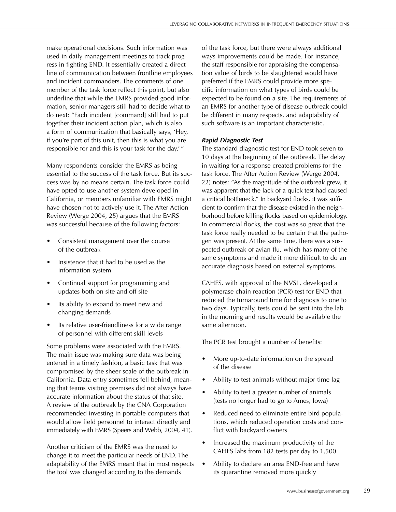make operational decisions. Such information was used in daily management meetings to track progress in fighting END. It essentially created a direct line of communication between frontline employees and incident commanders. The comments of one member of the task force reflect this point, but also underline that while the EMRS provided good information, senior managers still had to decide what to do next: "Each incident [command] still had to put together their incident action plan, which is also a form of communication that basically says, 'Hey, if you're part of this unit, then this is what you are responsible for and this is your task for the day.' "

Many respondents consider the EMRS as being essential to the success of the task force. But its success was by no means certain. The task force could have opted to use another system developed in California, or members unfamiliar with EMRS might have chosen not to actively use it. The After Action Review (Werge 2004, 25) argues that the EMRS was successful because of the following factors:

- Consistent management over the course of the outbreak
- Insistence that it had to be used as the information system
- Continual support for programming and updates both on site and off site
- Its ability to expand to meet new and changing demands
- Its relative user-friendliness for a wide range of personnel with different skill levels

Some problems were associated with the EMRS. The main issue was making sure data was being entered in a timely fashion, a basic task that was compromised by the sheer scale of the outbreak in California. Data entry sometimes fell behind, meaning that teams visiting premises did not always have accurate information about the status of that site. A review of the outbreak by the CNA Corporation recommended investing in portable computers that would allow field personnel to interact directly and immediately with EMRS (Speers and Webb, 2004, 41).

Another criticism of the EMRS was the need to change it to meet the particular needs of END. The adaptability of the EMRS meant that in most respects the tool was changed according to the demands

of the task force, but there were always additional ways improvements could be made. For instance, the staff responsible for appraising the compensation value of birds to be slaughtered would have preferred if the EMRS could provide more specific information on what types of birds could be expected to be found on a site. The requirements of an EMRS for another type of disease outbreak could be different in many respects, and adaptability of such software is an important characteristic.

#### *Rapid Diagnostic Test*

The standard diagnostic test for END took seven to 10 days at the beginning of the outbreak. The delay in waiting for a response created problems for the task force. The After Action Review (Werge 2004, 22) notes: "As the magnitude of the outbreak grew, it was apparent that the lack of a quick test had caused a critical bottleneck." In backyard flocks, it was sufficient to confirm that the disease existed in the neighborhood before killing flocks based on epidemiology. In commercial flocks, the cost was so great that the task force really needed to be certain that the pathogen was present. At the same time, there was a suspected outbreak of avian flu, which has many of the same symptoms and made it more difficult to do an accurate diagnosis based on external symptoms.

CAHFS, with approval of the NVSL, developed a polymerase chain reaction (PCR) test for END that reduced the turnaround time for diagnosis to one to two days. Typically, tests could be sent into the lab in the morning and results would be available the same afternoon.

The PCR test brought a number of benefits:

- More up-to-date information on the spread of the disease
- Ability to test animals without major time lag
- Ability to test a greater number of animals (tests no longer had to go to Ames, Iowa)
- Reduced need to eliminate entire bird populations, which reduced operation costs and conflict with backyard owners
- Increased the maximum productivity of the CAHFS labs from 182 tests per day to 1,500
- Ability to declare an area END-free and have its quarantine removed more quickly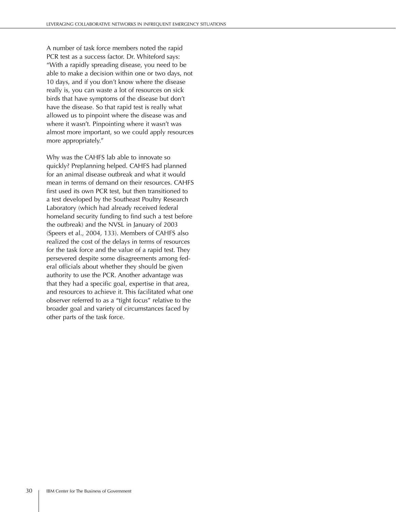A number of task force members noted the rapid PCR test as a success factor. Dr. Whiteford says: "With a rapidly spreading disease, you need to be able to make a decision within one or two days, not 10 days, and if you don't know where the disease really is, you can waste a lot of resources on sick birds that have symptoms of the disease but don't have the disease. So that rapid test is really what allowed us to pinpoint where the disease was and where it wasn't. Pinpointing where it wasn't was almost more important, so we could apply resources more appropriately."

Why was the CAHFS lab able to innovate so quickly? Preplanning helped. CAHFS had planned for an animal disease outbreak and what it would mean in terms of demand on their resources. CAHFS first used its own PCR test, but then transitioned to a test developed by the Southeast Poultry Research Laboratory (which had already received federal homeland security funding to find such a test before the outbreak) and the NVSL in January of 2003 (Speers et al., 2004, 133). Members of CAHFS also realized the cost of the delays in terms of resources for the task force and the value of a rapid test. They persevered despite some disagreements among federal officials about whether they should be given authority to use the PCR. Another advantage was that they had a specific goal, expertise in that area, and resources to achieve it. This facilitated what one observer referred to as a "tight focus" relative to the broader goal and variety of circumstances faced by other parts of the task force.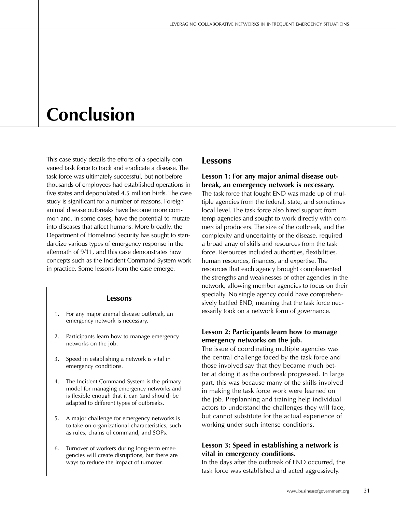# **Conclusion**

This case study details the efforts of a specially convened task force to track and eradicate a disease. The task force was ultimately successful, but not before thousands of employees had established operations in five states and depopulated 4.5 million birds. The case study is significant for a number of reasons. Foreign animal disease outbreaks have become more common and, in some cases, have the potential to mutate into diseases that affect humans. More broadly, the Department of Homeland Security has sought to standardize various types of emergency response in the aftermath of 9/11, and this case demonstrates how concepts such as the Incident Command System work in practice. Some lessons from the case emerge.

#### **Lessons**

- 1. For any major animal disease outbreak, an emergency network is necessary.
- 2. Participants learn how to manage emergency networks on the job.
- 3. Speed in establishing a network is vital in emergency conditions.
- 4. The Incident Command System is the primary model for managing emergency networks and is flexible enough that it can (and should) be adapted to different types of outbreaks.
- 5. A major challenge for emergency networks is to take on organizational characteristics, such as rules, chains of command, and SOPs.
- 6. Turnover of workers during long-term emergencies will create disruptions, but there are ways to reduce the impact of turnover.

## **Lessons**

**Lesson 1: For any major animal disease outbreak, an emergency network is necessary.** The task force that fought END was made up of multiple agencies from the federal, state, and sometimes local level. The task force also hired support from temp agencies and sought to work directly with commercial producers. The size of the outbreak, and the complexity and uncertainty of the disease, required a broad array of skills and resources from the task force. Resources included authorities, flexibilities, human resources, finances, and expertise. The resources that each agency brought complemented the strengths and weaknesses of other agencies in the network, allowing member agencies to focus on their specialty. No single agency could have comprehensively battled END, meaning that the task force necessarily took on a network form of governance.

### **Lesson 2: Participants learn how to manage emergency networks on the job.**

The issue of coordinating multiple agencies was the central challenge faced by the task force and those involved say that they became much better at doing it as the outbreak progressed. In large part, this was because many of the skills involved in making the task force work were learned on the job. Preplanning and training help individual actors to understand the challenges they will face, but cannot substitute for the actual experience of working under such intense conditions.

#### **Lesson 3: Speed in establishing a network is vital in emergency conditions.**

In the days after the outbreak of END occurred, the task force was established and acted aggressively.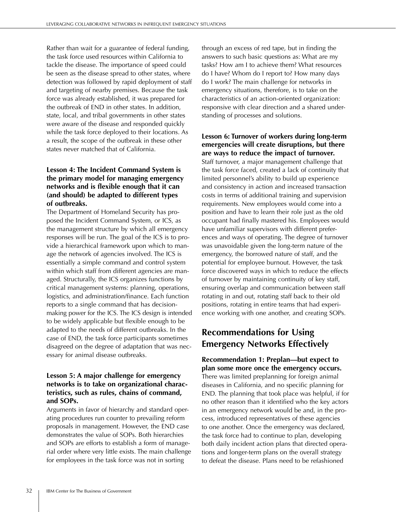Rather than wait for a guarantee of federal funding, the task force used resources within California to tackle the disease. The importance of speed could be seen as the disease spread to other states, where detection was followed by rapid deployment of staff and targeting of nearby premises. Because the task force was already established, it was prepared for the outbreak of END in other states. In addition, state, local, and tribal governments in other states were aware of the disease and responded quickly while the task force deployed to their locations. As a result, the scope of the outbreak in these other states never matched that of California.

## **Lesson 4: The Incident Command System is the primary model for managing emergency networks and is flexible enough that it can (and should) be adapted to different types of outbreaks.**

The Department of Homeland Security has proposed the Incident Command System, or ICS, as the management structure by which all emergency responses will be run. The goal of the ICS is to provide a hierarchical framework upon which to manage the network of agencies involved. The ICS is essentially a simple command and control system within which staff from different agencies are managed. Structurally, the ICS organizes functions by critical management systems: planning, operations, logistics, and administration/finance. Each function reports to a single command that has decisionmaking power for the ICS. The ICS design is intended to be widely applicable but flexible enough to be adapted to the needs of different outbreaks. In the case of END, the task force participants sometimes disagreed on the degree of adaptation that was necessary for animal disease outbreaks.

## **Lesson 5: A major challenge for emergency networks is to take on organizational characteristics, such as rules, chains of command, and SOPs.**

Arguments in favor of hierarchy and standard operating procedures run counter to prevailing reform proposals in management. However, the END case demonstrates the value of SOPs. Both hierarchies and SOPs are efforts to establish a form of managerial order where very little exists. The main challenge for employees in the task force was not in sorting

through an excess of red tape, but in finding the answers to such basic questions as: What are my tasks? How am I to achieve them? What resources do I have? Whom do I report to? How many days do I work? The main challenge for networks in emergency situations, therefore, is to take on the characteristics of an action-oriented organization: responsive with clear direction and a shared understanding of processes and solutions.

## **Lesson 6: Turnover of workers during long-term emergencies will create disruptions, but there are ways to reduce the impact of turnover.**

Staff turnover, a major management challenge that the task force faced, created a lack of continuity that limited personnel's ability to build up experience and consistency in action and increased transaction costs in terms of additional training and supervision requirements. New employees would come into a position and have to learn their role just as the old occupant had finally mastered his. Employees would have unfamiliar supervisors with different preferences and ways of operating. The degree of turnover was unavoidable given the long-term nature of the emergency, the borrowed nature of staff, and the potential for employee burnout. However, the task force discovered ways in which to reduce the effects of turnover by maintaining continuity of key staff, ensuring overlap and communication between staff rotating in and out, rotating staff back to their old positions, rotating in entire teams that had experience working with one another, and creating SOPs.

# **Recommendations for Using Emergency Networks Effectively**

## **Recommendation 1: Preplan—but expect to plan some more once the emergency occurs.**

There was limited preplanning for foreign animal diseases in California, and no specific planning for END. The planning that took place was helpful, if for no other reason than it identified who the key actors in an emergency network would be and, in the process, introduced representatives of these agencies to one another. Once the emergency was declared, the task force had to continue to plan, developing both daily incident action plans that directed operations and longer-term plans on the overall strategy to defeat the disease. Plans need to be refashioned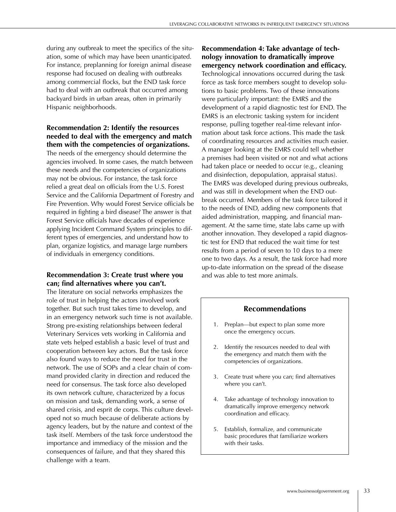during any outbreak to meet the specifics of the situation, some of which may have been unanticipated. For instance, preplanning for foreign animal disease response had focused on dealing with outbreaks among commercial flocks, but the END task force had to deal with an outbreak that occurred among backyard birds in urban areas, often in primarily Hispanic neighborhoods.

#### **Recommendation 2: Identify the resources needed to deal with the emergency and match them with the competencies of organizations.**

The needs of the emergency should determine the agencies involved. In some cases, the match between these needs and the competencies of organizations may not be obvious. For instance, the task force relied a great deal on officials from the U.S. Forest Service and the California Department of Forestry and Fire Prevention. Why would Forest Service officials be required in fighting a bird disease? The answer is that Forest Service officials have decades of experience applying Incident Command System principles to different types of emergencies, and understand how to plan, organize logistics, and manage large numbers of individuals in emergency conditions.

#### **Recommendation 3: Create trust where you can; find alternatives where you can't.**

The literature on social networks emphasizes the role of trust in helping the actors involved work together. But such trust takes time to develop, and in an emergency network such time is not available. Strong pre-existing relationships between federal Veterinary Services vets working in California and state vets helped establish a basic level of trust and cooperation between key actors. But the task force also found ways to reduce the need for trust in the network. The use of SOPs and a clear chain of command provided clarity in direction and reduced the need for consensus. The task force also developed its own network culture, characterized by a focus on mission and task, demanding work, a sense of shared crisis, and esprit de corps. This culture developed not so much because of deliberate actions by agency leaders, but by the nature and context of the task itself. Members of the task force understood the importance and immediacy of the mission and the consequences of failure, and that they shared this challenge with a team.

**Recommendation 4: Take advantage of technology innovation to dramatically improve emergency network coordination and efficacy.** Technological innovations occurred during the task force as task force members sought to develop solutions to basic problems. Two of these innovations were particularly important: the EMRS and the development of a rapid diagnostic test for END. The EMRS is an electronic tasking system for incident response, pulling together real-time relevant information about task force actions. This made the task of coordinating resources and activities much easier. A manager looking at the EMRS could tell whether a premises had been visited or not and what actions had taken place or needed to occur (e.g., cleaning and disinfection, depopulation, appraisal status). The EMRS was developed during previous outbreaks, and was still in development when the END outbreak occurred. Members of the task force tailored it to the needs of END, adding new components that aided administration, mapping, and financial management. At the same time, state labs came up with another innovation. They developed a rapid diagnostic test for END that reduced the wait time for test results from a period of seven to 10 days to a mere one to two days. As a result, the task force had more up-to-date information on the spread of the disease and was able to test more animals.

#### **Recommendations**

- 1. Preplan—but expect to plan some more once the emergency occurs.
- 2. Identify the resources needed to deal with the emergency and match them with the competencies of organizations.
- 3. Create trust where you can; find alternatives where you can't.
- 4. Take advantage of technology innovation to dramatically improve emergency network coordination and efficacy.
- 5. Establish, formalize, and communicate basic procedures that familiarize workers with their tasks.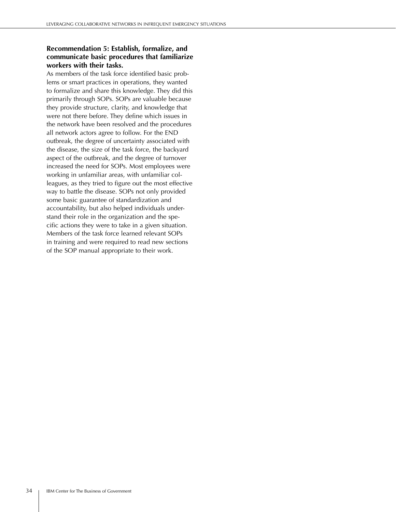## **Recommendation 5: Establish, formalize, and communicate basic procedures that familiarize workers with their tasks.**

As members of the task force identified basic problems or smart practices in operations, they wanted to formalize and share this knowledge. They did this primarily through SOPs. SOPs are valuable because they provide structure, clarity, and knowledge that were not there before. They define which issues in the network have been resolved and the procedures all network actors agree to follow. For the END outbreak, the degree of uncertainty associated with the disease, the size of the task force, the backyard aspect of the outbreak, and the degree of turnover increased the need for SOPs. Most employees were working in unfamiliar areas, with unfamiliar colleagues, as they tried to figure out the most effective way to battle the disease. SOPs not only provided some basic guarantee of standardization and accountability, but also helped individuals understand their role in the organization and the specific actions they were to take in a given situation. Members of the task force learned relevant SOPs in training and were required to read new sections of the SOP manual appropriate to their work.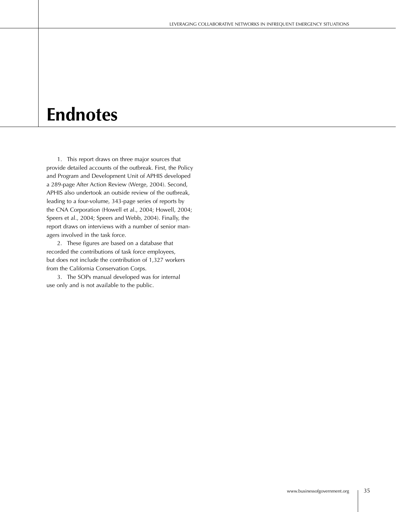# **Endnotes**

 1. This report draws on three major sources that provide detailed accounts of the outbreak. First, the Policy and Program and Development Unit of APHIS developed a 289-page After Action Review (Werge, 2004). Second, APHIS also undertook an outside review of the outbreak, leading to a four-volume, 343-page series of reports by the CNA Corporation (Howell et al., 2004; Howell, 2004; Speers et al., 2004; Speers and Webb, 2004). Finally, the report draws on interviews with a number of senior managers involved in the task force.

 2. These figures are based on a database that recorded the contributions of task force employees, but does not include the contribution of 1,327 workers from the California Conservation Corps.

 3. The SOPs manual developed was for internal use only and is not available to the public.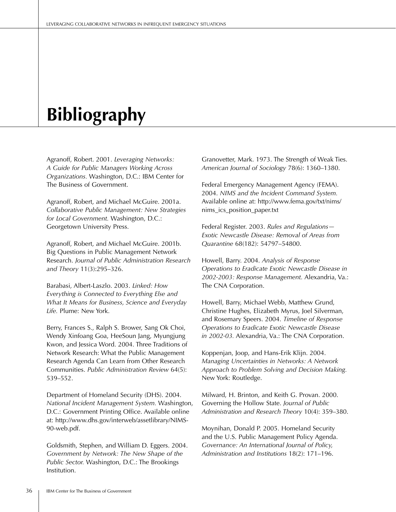# **Bibliography**

Agranoff, Robert. 2001. *Leveraging Networks: A Guide for Public Managers Working Across Organizations.* Washington, D.C.: IBM Center for The Business of Government.

Agranoff, Robert, and Michael McGuire. 2001a. *Collaborative Public Management: New Strategies for Local Government.* Washington, D.C.: Georgetown University Press.

Agranoff, Robert, and Michael McGuire. 2001b. Big Questions in Public Management Network Research. *Journal of Public Administration Research and Theory* 11(3):295–326.

Barabasi, Albert-Laszlo. 2003. *Linked: How Everything is Connected to Everything Else and What It Means for Business, Science and Everyday Life.* Plume: New York.

Berry, Frances S., Ralph S. Brower, Sang Ok Choi, Wendy Xinfoang Goa, HeeSoun Jang, Myungjung Kwon, and Jessica Word. 2004. Three Traditions of Network Research: What the Public Management Research Agenda Can Learn from Other Research Communities. *Public Administration Review* 64(5): 539–552.

Department of Homeland Security (DHS). 2004. *National Incident Management System.* Washington, D.C.: Government Printing Office. Available online at: http://www.dhs.gov/interweb/assetlibrary/NIMS-90-web.pdf.

Goldsmith, Stephen, and William D. Eggers. 2004. *Government by Network: The New Shape of the Public Sector.* Washington, D.C.: The Brookings Institution.

Granovetter, Mark. 1973. The Strength of Weak Ties. *American Journal of Sociology* 78(6): 1360–1380.

Federal Emergency Management Agency (FEMA). 2004. *NIMS and the Incident Command System.* Available online at: http://www.fema.gov/txt/nims/ nims\_ics\_position\_paper.txt

Federal Register. 2003. *Rules and Regulations— Exotic Newcastle Disease: Removal of Areas from Quarantine* 68(182): 54797–54800.

Howell, Barry. 2004. *Analysis of Response Operations to Eradicate Exotic Newcastle Disease in 2002-2003: Response Management.* Alexandria, Va.: The CNA Corporation.

Howell, Barry, Michael Webb, Matthew Grund, Christine Hughes, Elizabeth Myrus, Joel Silverman, and Rosemary Speers. 2004. *Timeline of Response Operations to Eradicate Exotic Newcastle Disease in 2002-03.* Alexandria, Va.: The CNA Corporation.

Koppenjan, Joop, and Hans-Erik Klijn. 2004. *Managing Uncertainties in Networks: A Network Approach to Problem Solving and Decision Making.* New York: Routledge.

Milward, H. Brinton, and Keith G. Provan. 2000. Governing the Hollow State. *Journal of Public Administration and Research Theory* 10(4): 359–380.

Moynihan, Donald P. 2005. Homeland Security and the U.S. Public Management Policy Agenda. *Governance: An International Journal of Policy, Administration and Institutions* 18(2): 171–196.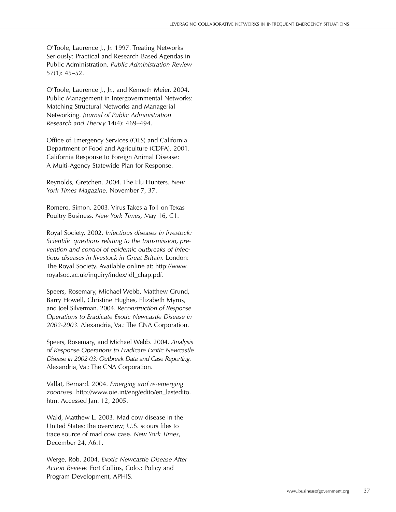O'Toole, Laurence J., Jr. 1997. Treating Networks Seriously: Practical and Research-Based Agendas in Public Administration. *Public Administration Review* 57(1): 45–52.

O'Toole, Laurence J., Jr., and Kenneth Meier. 2004. Public Management in Intergovernmental Networks: Matching Structural Networks and Managerial Networking. *Journal of Public Administration Research and Theory* 14(4): 469–494.

Office of Emergency Services (OES) and California Department of Food and Agriculture (CDFA). 2001. California Response to Foreign Animal Disease: A Multi-Agency Statewide Plan for Response.

Reynolds, Gretchen. 2004. The Flu Hunters. *New York Times Magazine.* November 7, 37.

Romero, Simon. 2003. Virus Takes a Toll on Texas Poultry Business. *New York Times,* May 16, C1.

Royal Society. 2002. *Infectious diseases in livestock: Scientific questions relating to the transmission, prevention and control of epidemic outbreaks of infectious diseases in livestock in Great Britain.* London: The Royal Society. Available online at: http://www. royalsoc.ac.uk/inquiry/index/idl\_chap.pdf.

Speers, Rosemary, Michael Webb, Matthew Grund, Barry Howell, Christine Hughes, Elizabeth Myrus, and Joel Silverman. 2004. *Reconstruction of Response Operations to Eradicate Exotic Newcastle Disease in 2002-2003.* Alexandria, Va.: The CNA Corporation.

Speers, Rosemary, and Michael Webb. 2004. *Analysis of Response Operations to Eradicate Exotic Newcastle Disease in 2002-03: Outbreak Data and Case Reporting.* Alexandria, Va.: The CNA Corporation.

Vallat, Bernard. 2004. *Emerging and re-emerging zoonoses.* http://www.oie.int/eng/edito/en\_lastedito. htm. Accessed Jan. 12, 2005.

Wald, Matthew L. 2003. Mad cow disease in the United States: the overview; U.S. scours files to trace source of mad cow case. *New York Times*, December 24, A6:1.

Werge, Rob. 2004. *Exotic Newcastle Disease After Action Review.* Fort Collins, Colo.: Policy and Program Development, APHIS.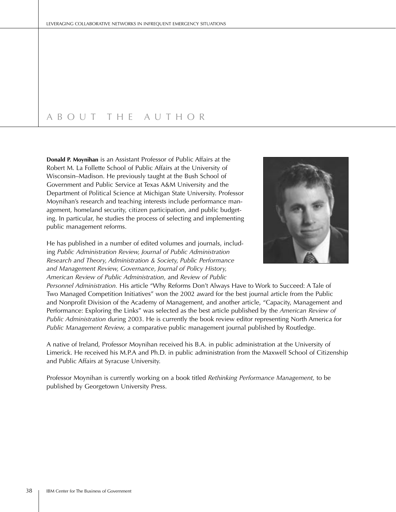# A B O U T T H E A U T H O R

**Donald P. Moynihan** is an Assistant Professor of Public Affairs at the Robert M. La Follette School of Public Affairs at the University of Wisconsin–Madison. He previously taught at the Bush School of Government and Public Service at Texas A&M University and the Department of Political Science at Michigan State University. Professor Moynihan's research and teaching interests include performance management, homeland security, citizen participation, and public budgeting. In particular, he studies the process of selecting and implementing public management reforms.

He has published in a number of edited volumes and journals, including *Public Administration Review, Journal of Public Administration Research and Theory, Administration & Society, Public Performance and Management Review, Governance, Journal of Policy History, American Review of Public Administration,* and *Review of Public* 



*Personnel Administration.* His article "Why Reforms Don't Always Have to Work to Succeed: A Tale of Two Managed Competition Initiatives" won the 2002 award for the best journal article from the Public and Nonprofit Division of the Academy of Management, and another article, "Capacity, Management and Performance: Exploring the Links" was selected as the best article published by the *American Review of Public Administration* during 2003. He is currently the book review editor representing North America for *Public Management Review,* a comparative public management journal published by Routledge.

A native of Ireland, Professor Moynihan received his B.A. in public administration at the University of Limerick. He received his M.P.A and Ph.D. in public administration from the Maxwell School of Citizenship and Public Affairs at Syracuse University.

Professor Moynihan is currently working on a book titled *Rethinking Performance Management,* to be published by Georgetown University Press.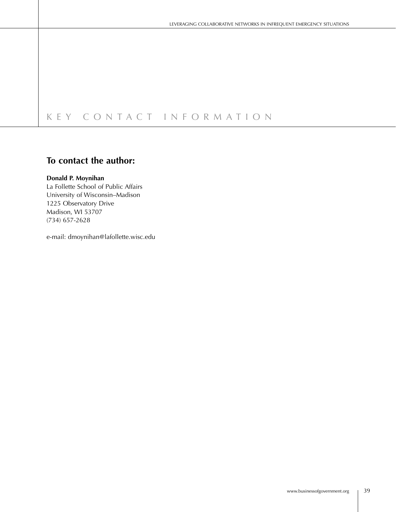# K E Y C O N T A C T I N F O R M A T I O N

# **To contact the author:**

#### **Donald P. Moynihan**

La Follette School of Public Affairs University of Wisconsin–Madison 1225 Observatory Drive Madison, WI 53707 (734) 657-2628

e-mail: dmoynihan@lafollette.wisc.edu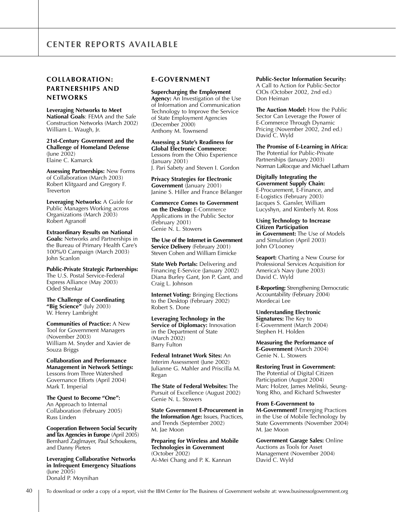## **COLLABORATION: PARTNERSHIPS AND NETWORKS**

**Leveraging Networks to Meet National Goals**: FEMA and the Safe Construction Networks (March 2002) William L. Waugh, Jr.

**21st-Century Government and the Challenge of Homeland Defense**  (June 2002) Elaine C. Kamarck

**Assessing Partnerships:** New Forms of Collaboration (March 2003) Robert Klitgaard and Gregory F. Treverton

**Leveraging Networks:** A Guide for Public Managers Working across Organizations (March 2003) Robert Agranoff

**Extraordinary Results on National Goals:** Networks and Partnerships in the Bureau of Primary Health Care's 100%/0 Campaign (March 2003) John Scanlon

**Public-Private Strategic Partnerships:** The U.S. Postal Service-Federal Express Alliance (May 2003) Oded Shenkar

**The Challenge of Coordinating "Big Science"** (July 2003) W. Henry Lambright

**Communities of Practice:** A New Tool for Government Managers (November 2003) William M. Snyder and Xavier de Souza Briggs

**Collaboration and Performance Management in Network Settings:** Lessons from Three Watershed Governance Efforts (April 2004) Mark T. Imperial

**The Quest to Become "One":** An Approach to Internal Collaboration (February 2005) Russ Linden

**Cooperation Between Social Security and Tax Agencies in Europe** (April 2005) Bernhard Zaglmayer, Paul Schoukens, and Danny Pieters

**Leveraging Collaborative Networks in Infrequent Emergency Situations** (June 2005) Donald P. Moynihan

#### **E-GOVERNMENT**

**Supercharging the Employment Agency:** An Investigation of the Use of Information and Communication Technology to Improve the Service of State Employment Agencies (December 2000) Anthony M. Townsend

**Assessing a State's Readiness for Global Electronic Commerce:** Lessons from the Ohio Experience (January 2001) J. Pari Sabety and Steven I. Gordon

**Privacy Strategies for Electronic Government** (January 2001) Janine S. Hiller and France Bélanger

**Commerce Comes to Government on the Desktop:** E-Commerce Applications in the Public Sector (February 2001) Genie N. L. Stowers

**The Use of the Internet in Government Service Delivery** (February 2001) Steven Cohen and William Eimicke

**State Web Portals: Delivering and** Financing E-Service (January 2002) Diana Burley Gant, Jon P. Gant, and Craig L. Johnson

**Internet Voting:** Bringing Elections to the Desktop (February 2002) Robert S. Done

**Leveraging Technology in the Service of Diplomacy:** Innovation in the Department of State (March 2002) Barry Fulton

**Federal Intranet Work Sites:** An Interim Assessment (June 2002) Julianne G. Mahler and Priscilla M. Regan

**The State of Federal Websites:** The Pursuit of Excellence (August 2002) Genie N. L. Stowers

**State Government E-Procurement in the Information Age:** Issues, Practices, and Trends (September 2002) M. Jae Moon

**Preparing for Wireless and Mobile Technologies in Government** (October 2002) Ai-Mei Chang and P. K. Kannan

#### **Public-Sector Information Security:**

A Call to Action for Public-Sector CIOs (October 2002, 2nd ed.) Don Heiman

**The Auction Model:** How the Public Sector Can Leverage the Power of E-Commerce Through Dynamic Pricing (November 2002, 2nd ed.) David C. Wyld

**The Promise of E-Learning in Africa:** The Potential for Public-Private Partnerships (January 2003) Norman LaRocque and Michael Latham

**Digitally Integrating the Government Supply Chain:** E-Procurement, E-Finance, and E-Logistics (February 2003) Jacques S. Gansler, William Lucyshyn, and Kimberly M. Ross

**Using Technology to Increase Citizen Participation in Government:** The Use of Models and Simulation (April 2003) John O'Looney

**Seaport:** Charting a New Course for Professional Services Acquisition for America's Navy (June 2003) David C. Wyld

**E-Reporting:** Strengthening Democratic Accountability (February 2004) Mordecai Lee

**Understanding Electronic Signatures:** The Key to E-Government (March 2004) Stephen H. Holden

**Measuring the Performance of E-Government** (March 2004) Genie N. L. Stowers

**Restoring Trust in Government:** The Potential of Digital Citizen Participation (August 2004) Marc Holzer, James Melitski, Seung-Yong Rho, and Richard Schwester

#### **From E-Government to**

**M-Government?** Emerging Practices in the Use of Mobile Technology by State Governments (November 2004) M. Jae Moon

**Government Garage Sales:** Online Auctions as Tools for Asset Management (November 2004) David C. Wyld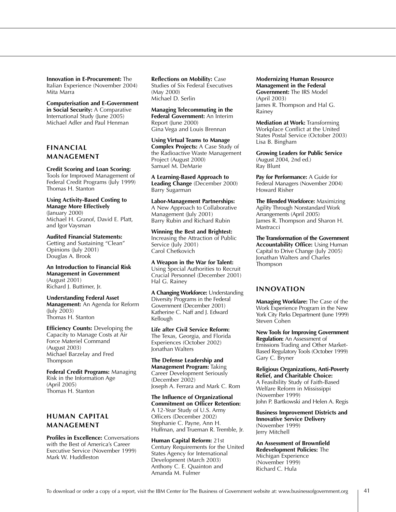**Innovation in E-Procurement:** The Italian Experience (November 2004) Mita Marra

**Computerisation and E-Government in Social Security:** A Comparative International Study (June 2005) Michael Adler and Paul Henman

### **FINANCIAL MANAGEMENT**

#### **Credit Scoring and Loan Scoring:**

Tools for Improved Management of Federal Credit Programs (July 1999) Thomas H. Stanton

**Using Activity-Based Costing to Manage More Effectively** (January 2000) Michael H. Granof, David E. Platt, and Igor Vaysman

**Audited Financial Statements:** Getting and Sustaining "Clean" Opinions (July 2001) Douglas A. Brook

**An Introduction to Financial Risk Management in Government**  (August 2001) Richard J. Buttimer, Jr.

**Understanding Federal Asset Management:** An Agenda for Reform (July 2003) Thomas H. Stanton

**Efficiency Counts: Developing the** Capacity to Manage Costs at Air Force Materiel Command (August 2003) Michael Barzelay and Fred Thompson

**Federal Credit Programs:** Managing Risk in the Information Age (April 2005) Thomas H. Stanton

## **HUMAN CAPITAL MANAGEMENT**

**Profiles in Excellence:** Conversations with the Best of America's Career Executive Service (November 1999) Mark W. Huddleston

**Reflections on Mobility:** Case Studies of Six Federal Executives (May 2000) Michael D. Serlin

**Managing Telecommuting in the Federal Government:** An Interim Report (June 2000) Gina Vega and Louis Brennan

**Using Virtual Teams to Manage Complex Projects:** A Case Study of the Radioactive Waste Management Project (August 2000) Samuel M. DeMarie

**A Learning-Based Approach to Leading Change** (December 2000) Barry Sugarman

**Labor-Management Partnerships:** A New Approach to Collaborative Management (July 2001) Barry Rubin and Richard Rubin

**Winning the Best and Brightest:**  Increasing the Attraction of Public Service (July 2001) Carol Chetkovich

**A Weapon in the War for Talent:**  Using Special Authorities to Recruit Crucial Personnel (December 2001) Hal G. Rainey

**A Changing Workforce:** Understanding Diversity Programs in the Federal Government (December 2001) Katherine C. Naff and J. Edward Kellough

**Life after Civil Service Reform:**  The Texas, Georgia, and Florida Experiences (October 2002) Jonathan Walters

**The Defense Leadership and Management Program:** Taking Career Development Seriously (December 2002) Joseph A. Ferrara and Mark C. Rom

**The Influence of Organizational Commitment on Officer Retention:**  A 12-Year Study of U.S. Army Officers (December 2002) Stephanie C. Payne, Ann H. Huffman, and Trueman R. Tremble, Jr.

**Human Capital Reform:** 21st Century Requirements for the United States Agency for International Development (March 2003) Anthony C. E. Quainton and Amanda M. Fulmer

**Modernizing Human Resource Management in the Federal Government:** The IRS Model (April 2003) James R. Thompson and Hal G. Rainey

**Mediation at Work:** Transforming Workplace Conflict at the United States Postal Service (October 2003) Lisa B. Bingham

**Growing Leaders for Public Service** (August 2004, 2nd ed.) Ray Blunt

**Pay for Performance:** A Guide for Federal Managers (November 2004) Howard Risher

**The Blended Workforce:** Maximizing Agility Through Nonstandard Work Arrangements (April 2005) James R. Thompson and Sharon H. Mastracci

**The Transformation of the Government Accountability Office:** Using Human Capital to Drive Change (July 2005) Jonathan Walters and Charles Thompson

#### **INNOVATION**

**Managing Workfare:** The Case of the Work Experience Program in the New York City Parks Department (June 1999) Steven Cohen

**New Tools for Improving Government Regulation:** An Assessment of Emissions Trading and Other Market-Based Regulatory Tools (October 1999) Gary C. Bryner

**Religious Organizations, Anti-Poverty Relief, and Charitable Choice:**  A Feasibility Study of Faith-Based Welfare Reform in Mississippi (November 1999) John P. Bartkowski and Helen A. Regis

**Business Improvement Districts and Innovative Service Delivery**  (November 1999) Jerry Mitchell

**An Assessment of Brownfield Redevelopment Policies:** The Michigan Experience (November 1999) Richard C. Hula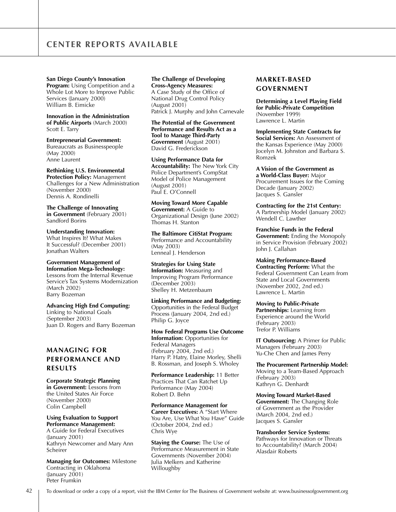**San Diego County's Innovation** 

**Program:** Using Competition and a Whole Lot More to Improve Public Services (January 2000) William B. Eimicke

**Innovation in the Administration of Public Airports** (March 2000) Scott E. Tarry

**Entrepreneurial Government:** Bureaucrats as Businesspeople (May 2000) Anne Laurent

**Rethinking U.S. Environmental Protection Policy:** Management Challenges for a New Administration (November 2000) Dennis A. Rondinelli

**The Challenge of Innovating in Government** (February 2001) Sandford Borins

**Understanding Innovation:**  What Inspires It? What Makes It Successful? (December 2001) Jonathan Walters

**Government Management of Information Mega-Technology:**  Lessons from the Internal Revenue

Service's Tax Systems Modernization (March 2002) Barry Bozeman

**Advancing High End Computing:** Linking to National Goals (September 2003) Juan D. Rogers and Barry Bozeman

### **MANAGING FOR PERFORMANCE AND RESULTS**

**Corporate Strategic Planning in Government:** Lessons from the United States Air Force (November 2000) Colin Campbell

**Using Evaluation to Support Performance Management:** A Guide for Federal Executives (January 2001) Kathryn Newcomer and Mary Ann Scheirer

**Managing for Outcomes:** Milestone Contracting in Oklahoma  $($ January 2001) Peter Frumkin

## **The Challenge of Developing**

**Cross-Agency Measures:**  A Case Study of the Office of National Drug Control Policy (August 2001) Patrick J. Murphy and John Carnevale

**The Potential of the Government Performance and Results Act as a Tool to Manage Third-Party Government** (August 2001) David G. Frederickson

**Using Performance Data for Accountability:** The New York City Police Department's CompStat Model of Police Management (August 2001) Paul E. O'Connell

**Moving Toward More Capable Government:** A Guide to Organizational Design (June 2002) Thomas H. Stanton

**The Baltimore CitiStat Program:** Performance and Accountability (May 2003) Lenneal J. Henderson

**Strategies for Using State Information:** Measuring and Improving Program Performance (December 2003) Shelley H. Metzenbaum

**Linking Performance and Budgeting:**  Opportunities in the Federal Budget Process (January 2004, 2nd ed.) Philip G. Joyce

**How Federal Programs Use Outcome Information:** Opportunities for Federal Managers (February 2004, 2nd ed.) Harry P. Hatry, Elaine Morley, Shelli B. Rossman, and Joseph S. Wholey

**Performance Leadership:** 11 Better Practices That Can Ratchet Up Performance (May 2004) Robert D. Behn

**Performance Management for Career Executives:** A "Start Where You Are, Use What You Have" Guide (October 2004, 2nd ed.) Chris Wye

**Staying the Course:** The Use of Performance Measurement in State Governments (November 2004) Julia Melkers and Katherine Willoughby

## **MARKET-BASED GOVERNMENT**

**Determining a Level Playing Field for Public-Private Competition** (November 1999) Lawrence L. Martin

**Implementing State Contracts for Social Services:** An Assessment of the Kansas Experience (May 2000) Jocelyn M. Johnston and Barbara S. Romzek

**A Vision of the Government as a World-Class Buyer:** Major Procurement Issues for the Coming Decade (January 2002) Jacques S. Gansler

**Contracting for the 21st Century:**  A Partnership Model (January 2002) Wendell C. Lawther

**Franchise Funds in the Federal Government:** Ending the Monopoly in Service Provision (February 2002) John J. Callahan

**Making Performance-Based Contracting Perform:** What the Federal Government Can Learn from State and Local Governments (November 2002, 2nd ed.) Lawrence L. Martin

**Moving to Public-Private Partnerships:** Learning from Experience around the World (February 2003) Trefor P. Williams

**IT Outsourcing:** A Primer for Public Managers (February 2003) Yu-Che Chen and James Perry

**The Procurement Partnership Model:** Moving to a Team-Based Approach (February 2003) Kathryn G. Denhardt

**Moving Toward Market-Based Government:** The Changing Role of Government as the Provider (March 2004, 2nd ed.) Jacques S. Gansler

**Transborder Service Systems:** Pathways for Innovation or Threats to Accountability? (March 2004) Alasdair Roberts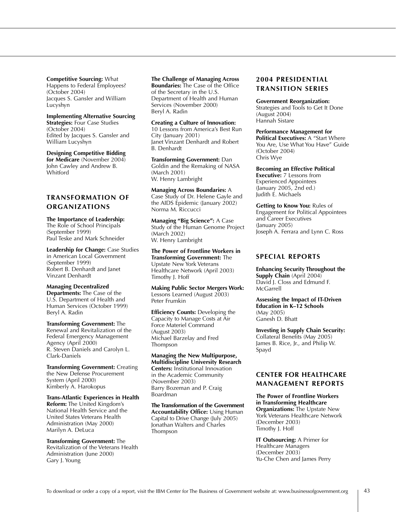**Competitive Sourcing:** What Happens to Federal Employees? (October 2004) Jacques S. Gansler and William Lucyshyn

**Implementing Alternative Sourcing Strategies: Four Case Studies** (October 2004) Edited by Jacques S. Gansler and William Lucyshyn

**Designing Competitive Bidding for Medicare** (November 2004) John Cawley and Andrew B. Whitford

### **TRANSFORMATION OF ORGANIZATIONS**

**The Importance of Leadership:** The Role of School Principals (September 1999) Paul Teske and Mark Schneider

**Leadership for Change:** Case Studies in American Local Government (September 1999) Robert B. Denhardt and Janet Vinzant Denhardt

**Managing Decentralized Departments:** The Case of the U.S. Department of Health and Human Services (October 1999) Beryl A. Radin

**Transforming Government:** The Renewal and Revitalization of the Federal Emergency Management Agency (April 2000) R. Steven Daniels and Carolyn L. Clark-Daniels

**Transforming Government:** Creating the New Defense Procurement System (April 2000) Kimberly A. Harokopus

**Trans-Atlantic Experiences in Health Reform:** The United Kingdom's National Health Service and the United States Veterans Health Administration (May 2000) Marilyn A. DeLuca

**Transforming Government:** The Revitalization of the Veterans Health Administration (June 2000) Gary J. Young

# **The Challenge of Managing Across**

**Boundaries:** The Case of the Office of the Secretary in the U.S. Department of Health and Human Services (November 2000) Beryl A. Radin

**Creating a Culture of Innovation:** 10 Lessons from America's Best Run City (January 2001) Janet Vinzant Denhardt and Robert B. Denhardt

**Transforming Government:** Dan Goldin and the Remaking of NASA (March 2001) W. Henry Lambright

**Managing Across Boundaries:** A Case Study of Dr. Helene Gayle and the AIDS Epidemic (January 2002) Norma M. Riccucci

**Managing "Big Science":** A Case Study of the Human Genome Project (March 2002) W. Henry Lambright

**The Power of Frontline Workers in Transforming Government:** The Upstate New York Veterans Healthcare Network (April 2003) Timothy J. Hoff

**Making Public Sector Mergers Work:** Lessons Learned (August 2003) Peter Frumkin

**Efficiency Counts: Developing the** Capacity to Manage Costs at Air Force Materiel Command (August 2003) Michael Barzelay and Fred Thompson

**Managing the New Multipurpose, Multidiscipline University Research Centers:** Institutional Innovation in the Academic Community (November 2003) Barry Bozeman and P. Craig Boardman

**The Transformation of the Government Accountability Office:** Using Human Capital to Drive Change (July 2005) Jonathan Walters and Charles Thompson

### **2004 PRESIDENTIAL TRANSITION SERIES**

**Government Reorganization:** Strategies and Tools to Get It Done (August 2004) Hannah Sistare

**Performance Management for Political Executives:** A "Start Where You Are, Use What You Have" Guide (October 2004) Chris Wye

**Becoming an Effective Political Executive:** 7 Lessons from Experienced Appointees (January 2005, 2nd ed.) Judith E. Michaels

**Getting to Know You:** Rules of Engagement for Political Appointees and Career Executives (January 2005) Joseph A. Ferrara and Lynn C. Ross

#### **SPECIAL REPORTS**

**Enhancing Security Throughout the Supply Chain** (April 2004) David J. Closs and Edmund F. **McGarrell** 

**Assessing the Impact of IT-Driven Education in K–12 Schools** (May 2005) Ganesh D. Bhatt

**Investing in Supply Chain Security:**  Collateral Benefits (May 2005) James B. Rice, Jr., and Philip W. Spayd

#### **CENTER FOR HEALTHCARE MANAGEMENT REPORTS**

**The Power of Frontline Workers in Transforming Healthcare Organizations:** The Upstate New York Veterans Healthcare Network (December 2003) Timothy J. Hoff

**IT Outsourcing:** A Primer for Healthcare Managers (December 2003) Yu-Che Chen and James Perry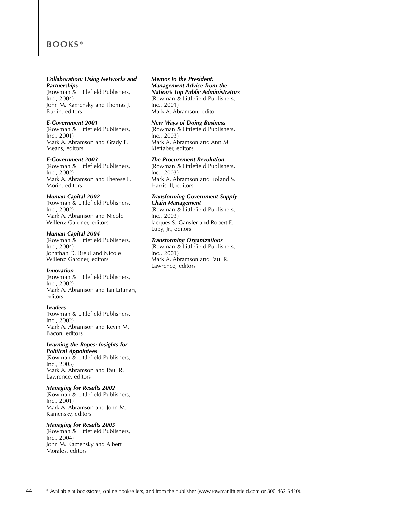# **BOOKS\***

#### *Collaboration: Using Networks and Partnerships*

(Rowman & Littlefield Publishers, Inc., 2004) John M. Kamensky and Thomas J. Burlin, editors

#### *E-Government 2001*

(Rowman & Littlefield Publishers, Inc., 2001) Mark A. Abramson and Grady E. Means, editors

#### *E-Government 2003*

(Rowman & Littlefield Publishers, Inc., 2002) Mark A. Abramson and Therese L. Morin, editors

#### *Human Capital 2002*

(Rowman & Littlefield Publishers, Inc., 2002) Mark A. Abramson and Nicole Willenz Gardner, editors

#### *Human Capital 2004*

(Rowman & Littlefield Publishers, Inc., 2004) Jonathan D. Breul and Nicole Willenz Gardner, editors

#### *Innovation*

(Rowman & Littlefield Publishers, Inc., 2002) Mark A. Abramson and Ian Littman, editors

#### *Leaders*

(Rowman & Littlefield Publishers, Inc., 2002) Mark A. Abramson and Kevin M. Bacon, editors

# *Learning the Ropes: Insights for*

*Political Appointees* (Rowman & Littlefield Publishers, Inc., 2005) Mark A. Abramson and Paul R. Lawrence, editors

#### *Managing for Results 2002*

(Rowman & Littlefield Publishers, Inc., 2001) Mark A. Abramson and John M. Kamensky, editors

#### *Managing for Results 2005*

(Rowman & Littlefield Publishers, Inc., 2004) John M. Kamensky and Albert Morales, editors

#### *Memos to the President: Management Advice from the Nation's Top Public Administrators*  (Rowman & Littlefield Publishers, Inc., 2001)

Mark A. Abramson, editor

#### *New Ways of Doing Business*

(Rowman & Littlefield Publishers, Inc., 2003) Mark A. Abramson and Ann M. Kieffaber, editors

#### *The Procurement Revolution*

(Rowman & Littlefield Publishers, Inc., 2003) Mark A. Abramson and Roland S. Harris III, editors

#### *Transforming Government Supply Chain Management*

(Rowman & Littlefield Publishers, Inc., 2003) Jacques S. Gansler and Robert E. Luby, Jr., editors

#### *Transforming Organizations*

(Rowman & Littlefield Publishers, Inc., 2001) Mark A. Abramson and Paul R. Lawrence, editors